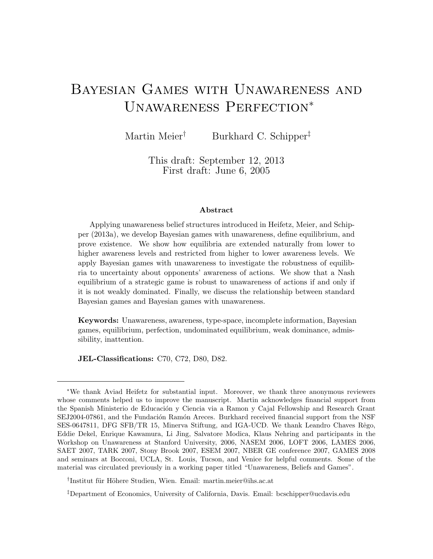# Bayesian Games with Unawareness and Unawareness Perfection<sup>∗</sup>

Martin Meier<sup>†</sup> Burkhard C. Schipper<sup>‡</sup>

This draft: September 12, 2013 First draft: June 6, 2005

#### Abstract

Applying unawareness belief structures introduced in Heifetz, Meier, and Schipper (2013a), we develop Bayesian games with unawareness, define equilibrium, and prove existence. We show how equilibria are extended naturally from lower to higher awareness levels and restricted from higher to lower awareness levels. We apply Bayesian games with unawareness to investigate the robustness of equilibria to uncertainty about opponents' awareness of actions. We show that a Nash equilibrium of a strategic game is robust to unawareness of actions if and only if it is not weakly dominated. Finally, we discuss the relationship between standard Bayesian games and Bayesian games with unawareness.

Keywords: Unawareness, awareness, type-space, incomplete information, Bayesian games, equilibrium, perfection, undominated equilibrium, weak dominance, admissibility, inattention.

JEL-Classifications: C70, C72, D80, D82.

<sup>∗</sup>We thank Aviad Heifetz for substantial input. Moreover, we thank three anonymous reviewers whose comments helped us to improve the manuscript. Martin acknowledges financial support from the Spanish Ministerio de Educación y Ciencia via a Ramon y Cajal Fellowship and Research Grant SEJ2004-07861, and the Fundación Ramón Areces. Burkhard received financial support from the NSF SES-0647811, DFG SFB/TR 15, Minerva Stiftung, and IGA-UCD. We thank Leandro Chaves Rêgo, Eddie Dekel, Enrique Kawamura, Li Jing, Salvatore Modica, Klaus Nehring and participants in the Workshop on Unawareness at Stanford University, 2006, NASEM 2006, LOFT 2006, LAMES 2006, SAET 2007, TARK 2007, Stony Brook 2007, ESEM 2007, NBER GE conference 2007, GAMES 2008 and seminars at Bocconi, UCLA, St. Louis, Tucson, and Venice for helpful comments. Some of the material was circulated previously in a working paper titled "Unawareness, Beliefs and Games".

<sup>&</sup>lt;sup>†</sup>Institut für Höhere Studien, Wien. Email: martin.meier@ihs.ac.at

<sup>‡</sup>Department of Economics, University of California, Davis. Email: bcschipper@ucdavis.edu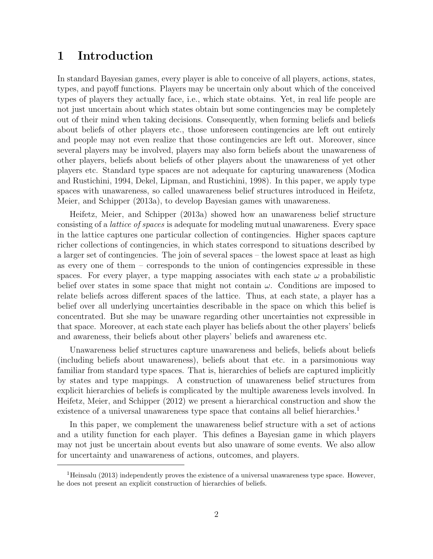## 1 Introduction

In standard Bayesian games, every player is able to conceive of all players, actions, states, types, and payoff functions. Players may be uncertain only about which of the conceived types of players they actually face, i.e., which state obtains. Yet, in real life people are not just uncertain about which states obtain but some contingencies may be completely out of their mind when taking decisions. Consequently, when forming beliefs and beliefs about beliefs of other players etc., those unforeseen contingencies are left out entirely and people may not even realize that those contingencies are left out. Moreover, since several players may be involved, players may also form beliefs about the unawareness of other players, beliefs about beliefs of other players about the unawareness of yet other players etc. Standard type spaces are not adequate for capturing unawareness (Modica and Rustichini, 1994, Dekel, Lipman, and Rustichini, 1998). In this paper, we apply type spaces with unawareness, so called unawareness belief structures introduced in Heifetz, Meier, and Schipper (2013a), to develop Bayesian games with unawareness.

Heifetz, Meier, and Schipper (2013a) showed how an unawareness belief structure consisting of a lattice of spaces is adequate for modeling mutual unawareness. Every space in the lattice captures one particular collection of contingencies. Higher spaces capture richer collections of contingencies, in which states correspond to situations described by a larger set of contingencies. The join of several spaces – the lowest space at least as high as every one of them – corresponds to the union of contingencies expressible in these spaces. For every player, a type mapping associates with each state  $\omega$  a probabilistic belief over states in some space that might not contain  $\omega$ . Conditions are imposed to relate beliefs across different spaces of the lattice. Thus, at each state, a player has a belief over all underlying uncertainties describable in the space on which this belief is concentrated. But she may be unaware regarding other uncertainties not expressible in that space. Moreover, at each state each player has beliefs about the other players' beliefs and awareness, their beliefs about other players' beliefs and awareness etc.

Unawareness belief structures capture unawareness and beliefs, beliefs about beliefs (including beliefs about unawareness), beliefs about that etc. in a parsimonious way familiar from standard type spaces. That is, hierarchies of beliefs are captured implicitly by states and type mappings. A construction of unawareness belief structures from explicit hierarchies of beliefs is complicated by the multiple awareness levels involved. In Heifetz, Meier, and Schipper (2012) we present a hierarchical construction and show the existence of a universal unawareness type space that contains all belief hierarchies.<sup>1</sup>

In this paper, we complement the unawareness belief structure with a set of actions and a utility function for each player. This defines a Bayesian game in which players may not just be uncertain about events but also unaware of some events. We also allow for uncertainty and unawareness of actions, outcomes, and players.

<sup>&</sup>lt;sup>1</sup>Heinsalu (2013) independently proves the existence of a universal unawareness type space. However, he does not present an explicit construction of hierarchies of beliefs.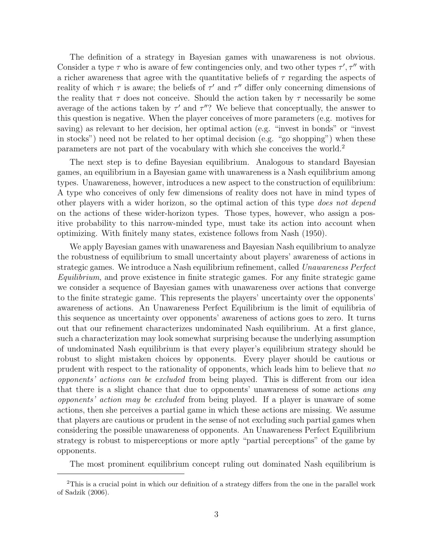The definition of a strategy in Bayesian games with unawareness is not obvious. Consider a type  $\tau$  who is aware of few contingencies only, and two other types  $\tau', \tau''$  with a richer awareness that agree with the quantitative beliefs of  $\tau$  regarding the aspects of reality of which  $\tau$  is aware; the beliefs of  $\tau'$  and  $\tau''$  differ only concerning dimensions of the reality that  $\tau$  does not conceive. Should the action taken by  $\tau$  necessarily be some average of the actions taken by  $\tau'$  and  $\tau''$ ? We believe that conceptually, the answer to this question is negative. When the player conceives of more parameters (e.g. motives for saving) as relevant to her decision, her optimal action (e.g. "invest in bonds" or "invest in stocks") need not be related to her optimal decision (e.g. "go shopping") when these parameters are not part of the vocabulary with which she conceives the world.<sup>2</sup>

The next step is to define Bayesian equilibrium. Analogous to standard Bayesian games, an equilibrium in a Bayesian game with unawareness is a Nash equilibrium among types. Unawareness, however, introduces a new aspect to the construction of equilibrium: A type who conceives of only few dimensions of reality does not have in mind types of other players with a wider horizon, so the optimal action of this type does not depend on the actions of these wider-horizon types. Those types, however, who assign a positive probability to this narrow-minded type, must take its action into account when optimizing. With finitely many states, existence follows from Nash (1950).

We apply Bayesian games with unawareness and Bayesian Nash equilibrium to analyze the robustness of equilibrium to small uncertainty about players' awareness of actions in strategic games. We introduce a Nash equilibrium refinement, called Unawareness Perfect Equilibrium, and prove existence in finite strategic games. For any finite strategic game we consider a sequence of Bayesian games with unawareness over actions that converge to the finite strategic game. This represents the players' uncertainty over the opponents' awareness of actions. An Unawareness Perfect Equilibrium is the limit of equilibria of this sequence as uncertainty over opponents' awareness of actions goes to zero. It turns out that our refinement characterizes undominated Nash equilibrium. At a first glance, such a characterization may look somewhat surprising because the underlying assumption of undominated Nash equilibrium is that every player's equilibrium strategy should be robust to slight mistaken choices by opponents. Every player should be cautious or prudent with respect to the rationality of opponents, which leads him to believe that no opponents' actions can be excluded from being played. This is different from our idea that there is a slight chance that due to opponents' unawareness of some actions any opponents' action may be excluded from being played. If a player is unaware of some actions, then she perceives a partial game in which these actions are missing. We assume that players are cautious or prudent in the sense of not excluding such partial games when considering the possible unawareness of opponents. An Unawareness Perfect Equilibrium strategy is robust to misperceptions or more aptly "partial perceptions" of the game by opponents.

The most prominent equilibrium concept ruling out dominated Nash equilibrium is

<sup>2</sup>This is a crucial point in which our definition of a strategy differs from the one in the parallel work of Sadzik (2006).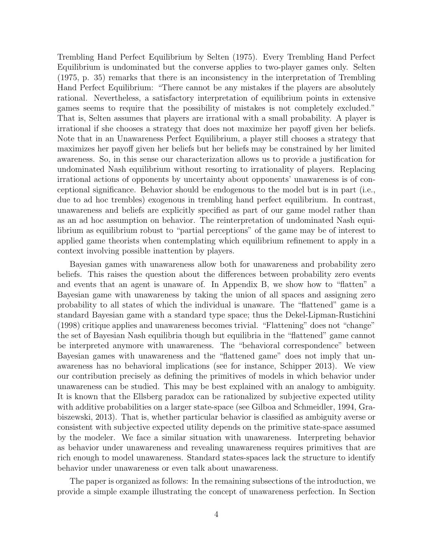Trembling Hand Perfect Equilibrium by Selten (1975). Every Trembling Hand Perfect Equilibrium is undominated but the converse applies to two-player games only. Selten (1975, p. 35) remarks that there is an inconsistency in the interpretation of Trembling Hand Perfect Equilibrium: "There cannot be any mistakes if the players are absolutely rational. Nevertheless, a satisfactory interpretation of equilibrium points in extensive games seems to require that the possibility of mistakes is not completely excluded." That is, Selten assumes that players are irrational with a small probability. A player is irrational if she chooses a strategy that does not maximize her payoff given her beliefs. Note that in an Unawareness Perfect Equilibrium, a player still chooses a strategy that maximizes her payoff given her beliefs but her beliefs may be constrained by her limited awareness. So, in this sense our characterization allows us to provide a justification for undominated Nash equilibrium without resorting to irrationality of players. Replacing irrational actions of opponents by uncertainty about opponents' unawareness is of conceptional significance. Behavior should be endogenous to the model but is in part (i.e., due to ad hoc trembles) exogenous in trembling hand perfect equilibrium. In contrast, unawareness and beliefs are explicitly specified as part of our game model rather than as an ad hoc assumption on behavior. The reinterpretation of undominated Nash equilibrium as equilibrium robust to "partial perceptions" of the game may be of interest to applied game theorists when contemplating which equilibrium refinement to apply in a context involving possible inattention by players.

Bayesian games with unawareness allow both for unawareness and probability zero beliefs. This raises the question about the differences between probability zero events and events that an agent is unaware of. In Appendix B, we show how to "flatten" a Bayesian game with unawareness by taking the union of all spaces and assigning zero probability to all states of which the individual is unaware. The "flattened" game is a standard Bayesian game with a standard type space; thus the Dekel-Lipman-Rustichini (1998) critique applies and unawareness becomes trivial. "Flattening" does not "change" the set of Bayesian Nash equilibria though but equilibria in the "flattened" game cannot be interpreted anymore with unawareness. The "behavioral correspondence" between Bayesian games with unawareness and the "flattened game" does not imply that unawareness has no behavioral implications (see for instance, Schipper 2013). We view our contribution precisely as defining the primitives of models in which behavior under unawareness can be studied. This may be best explained with an analogy to ambiguity. It is known that the Ellsberg paradox can be rationalized by subjective expected utility with additive probabilities on a larger state-space (see Gilboa and Schmeidler, 1994, Grabiszewski, 2013). That is, whether particular behavior is classified as ambiguity averse or consistent with subjective expected utility depends on the primitive state-space assumed by the modeler. We face a similar situation with unawareness. Interpreting behavior as behavior under unawareness and revealing unawareness requires primitives that are rich enough to model unawareness. Standard states-spaces lack the structure to identify behavior under unawareness or even talk about unawareness.

The paper is organized as follows: In the remaining subsections of the introduction, we provide a simple example illustrating the concept of unawareness perfection. In Section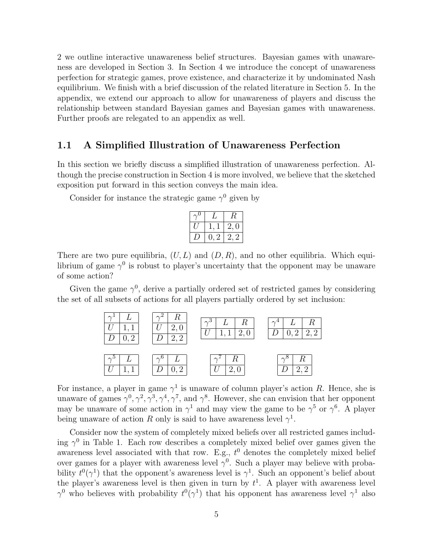2 we outline interactive unawareness belief structures. Bayesian games with unawareness are developed in Section 3. In Section 4 we introduce the concept of unawareness perfection for strategic games, prove existence, and characterize it by undominated Nash equilibrium. We finish with a brief discussion of the related literature in Section 5. In the appendix, we extend our approach to allow for unawareness of players and discuss the relationship between standard Bayesian games and Bayesian games with unawareness. Further proofs are relegated to an appendix as well.

### 1.1 A Simplified Illustration of Unawareness Perfection

In this section we briefly discuss a simplified illustration of unawareness perfection. Although the precise construction in Section 4 is more involved, we believe that the sketched exposition put forward in this section conveys the main idea.

Consider for instance the strategic game  $\gamma^0$  given by

|  |         | 2,0 |  |  |  |
|--|---------|-----|--|--|--|
|  | -2<br>U | 2.2 |  |  |  |

There are two pure equilibria,  $(U, L)$  and  $(D, R)$ , and no other equilibria. Which equilibrium of game  $\gamma^0$  is robust to player's uncertainty that the opponent may be unaware of some action?

Given the game  $\gamma^0$ , derive a partially ordered set of restricted games by considering the set of all subsets of actions for all players partially ordered by set inclusion:



For instance, a player in game  $\gamma^1$  is unaware of column player's action R. Hence, she is unaware of games  $\gamma^0, \gamma^2, \gamma^3, \gamma^4, \gamma^7$ , and  $\gamma^8$ . However, she can envision that her opponent may be unaware of some action in  $\gamma^1$  and may view the game to be  $\gamma^5$  or  $\gamma^6$ . A player being unaware of action R only is said to have awareness level  $\gamma^1$ .

Consider now the system of completely mixed beliefs over all restricted games including  $\gamma^0$  in Table 1. Each row describes a completely mixed belief over games given the awareness level associated with that row. E.g.,  $t^0$  denotes the completely mixed belief over games for a player with awareness level  $\gamma^0$ . Such a player may believe with probability  $t^0(\gamma^1)$  that the opponent's awareness level is  $\gamma^1$ . Such an opponent's belief about the player's awareness level is then given in turn by  $t<sup>1</sup>$ . A player with awareness level  $\gamma^0$  who believes with probability  $t^0(\gamma^1)$  that his opponent has awareness level  $\gamma^1$  also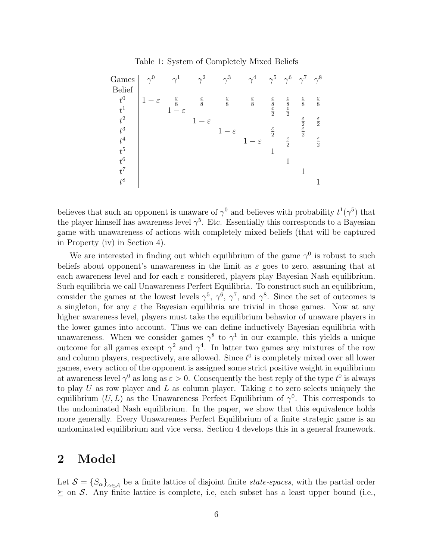| Games<br><b>Belief</b>                                                                                       | $\gamma^0$          | $\gamma^1$                                 | $\gamma^2$                                 | $\gamma^3$                               | $\gamma^4$                               |                                                  | $\gamma^5$ $\gamma^6$ $\gamma^7$ $\gamma^8$                               |                                                                           |                                                                               |
|--------------------------------------------------------------------------------------------------------------|---------------------|--------------------------------------------|--------------------------------------------|------------------------------------------|------------------------------------------|--------------------------------------------------|---------------------------------------------------------------------------|---------------------------------------------------------------------------|-------------------------------------------------------------------------------|
| $\overline{t^0}$<br>$t^1$<br>$\begin{array}{c} t^2\\ t^3\\ t^4\\ t^5 \end{array}$<br>$t^6$<br>$t^7$<br>$t^8$ | 1<br>$-\varepsilon$ | $\frac{\varepsilon}{8}$<br>$1-\varepsilon$ | $\frac{\varepsilon}{8}$<br>$1-\varepsilon$ | $rac{\varepsilon}{8}$<br>$1-\varepsilon$ | $rac{\varepsilon}{8}$<br>$1-\varepsilon$ | $rac{\varepsilon}{2}$<br>$\frac{\varepsilon}{2}$ | $rac{\varepsilon}{8}$<br>$rac{\varepsilon}{2}$<br>$\frac{\varepsilon}{2}$ | $\frac{\varepsilon}{8}$<br>$rac{\varepsilon}{2}$<br>$rac{\varepsilon}{2}$ | $\frac{\varepsilon}{8}$<br>$\frac{\varepsilon}{2}$<br>$\frac{\varepsilon}{2}$ |

Table 1: System of Completely Mixed Beliefs

believes that such an opponent is unaware of  $\gamma^0$  and believes with probability  $t^1(\gamma^5)$  that the player himself has awareness level  $\gamma^5$ . Etc. Essentially this corresponds to a Bayesian game with unawareness of actions with completely mixed beliefs (that will be captured in Property (iv) in Section 4).

We are interested in finding out which equilibrium of the game  $\gamma^0$  is robust to such beliefs about opponent's unawareness in the limit as  $\varepsilon$  goes to zero, assuming that at each awareness level and for each  $\varepsilon$  considered, players play Bayesian Nash equilibrium. Such equilibria we call Unawareness Perfect Equilibria. To construct such an equilibrium, consider the games at the lowest levels  $\gamma^5$ ,  $\gamma^6$ ,  $\gamma^7$ , and  $\gamma^8$ . Since the set of outcomes is a singleton, for any  $\varepsilon$  the Bayesian equilibria are trivial in those games. Now at any higher awareness level, players must take the equilibrium behavior of unaware players in the lower games into account. Thus we can define inductively Bayesian equilibria with unawareness. When we consider games  $\gamma^8$  to  $\gamma^1$  in our example, this yields a unique outcome for all games except  $\gamma^2$  and  $\gamma^4$ . In latter two games any mixtures of the row and column players, respectively, are allowed. Since  $t^0$  is completely mixed over all lower games, every action of the opponent is assigned some strict positive weight in equilibrium at awareness level  $\gamma^0$  as long as  $\varepsilon > 0$ . Consequently the best reply of the type  $t^0$  is always to play U as row player and L as column player. Taking  $\varepsilon$  to zero selects uniquely the equilibrium  $(U, L)$  as the Unawareness Perfect Equilibrium of  $\gamma^0$ . This corresponds to the undominated Nash equilibrium. In the paper, we show that this equivalence holds more generally. Every Unawareness Perfect Equilibrium of a finite strategic game is an undominated equilibrium and vice versa. Section 4 develops this in a general framework.

## 2 Model

Let  $S = {S_{\alpha}}_{\alpha \in A}$  be a finite lattice of disjoint finite *state-spaces*, with the partial order  $\succeq$  on S. Any finite lattice is complete, i.e, each subset has a least upper bound (i.e.,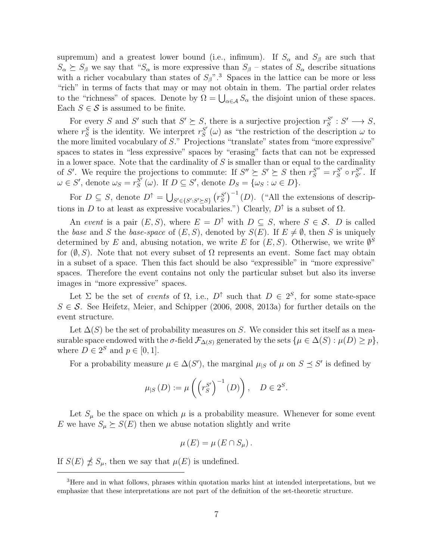supremum) and a greatest lower bound (i.e., infimum). If  $S_\alpha$  and  $S_\beta$  are such that  $S_{\alpha} \succeq S_{\beta}$  we say that " $S_{\alpha}$  is more expressive than  $S_{\beta}$  – states of  $S_{\alpha}$  describe situations with a richer vocabulary than states of  $S_\beta$ ".<sup>3</sup> Spaces in the lattice can be more or less "rich" in terms of facts that may or may not obtain in them. The partial order relates to the "richness" of spaces. Denote by  $\Omega = \bigcup_{\alpha \in A} S_{\alpha}$  the disjoint union of these spaces. Each  $S \in \mathcal{S}$  is assumed to be finite.

For every S and S' such that  $S' \succeq S$ , there is a surjective projection  $r_S^{S'}$  $S' : S' \longrightarrow S,$ where  $r_S^S$  is the identity. We interpret  $r_S^{S'}$  $S'_{S}(\omega)$  as "the restriction of the description  $\omega$  to the more limited vocabulary of S." Projections "translate" states from "more expressive" spaces to states in "less expressive" spaces by "erasing" facts that can not be expressed in a lower space. Note that the cardinality of  $S$  is smaller than or equal to the cardinality of S'. We require the projections to commute: If  $S'' \succeq S' \succeq S$  then  $r_S^{S''} = r_S^{S'}$  $S' \circ r_{S'}^{S''}$ . If  $\omega \in S'$ , denote  $\omega_S = r_S^{S'}$  $S'_{S}(\omega)$ . If  $D \subseteq S'$ , denote  $D_{S} = {\omega_{S} : \omega \in D}.$ 

For  $D \subseteq S$ , denote  $D^{\dagger} = \bigcup_{S' \in \{S': S' \succeq S\}} (r_S^{S'}$  $S'_{S}$ <sup> $-1$ </sup> (*D*). ("All the extensions of descriptions in D to at least as expressive vocabularies.") Clearly,  $D^{\uparrow}$  is a subset of  $\Omega$ .

An event is a pair  $(E, S)$ , where  $E = D^{\uparrow}$  with  $D \subseteq S$ , where  $S \in \mathcal{S}$ . D is called the base and S the base-space of  $(E, S)$ , denoted by  $S(E)$ . If  $E \neq \emptyset$ , then S is uniquely determined by E and, abusing notation, we write E for  $(E, S)$ . Otherwise, we write  $\emptyset^S$ for  $(\emptyset, S)$ . Note that not every subset of  $\Omega$  represents an event. Some fact may obtain in a subset of a space. Then this fact should be also "expressible" in "more expressive" spaces. Therefore the event contains not only the particular subset but also its inverse images in "more expressive" spaces.

Let  $\Sigma$  be the set of events of  $\Omega$ , i.e.,  $D^{\uparrow}$  such that  $D \in 2^S$ , for some state-space  $S \in \mathcal{S}$ . See Heifetz, Meier, and Schipper (2006, 2008, 2013a) for further details on the event structure.

Let  $\Delta(S)$  be the set of probability measures on S. We consider this set itself as a measurable space endowed with the  $\sigma$ -field  $\mathcal{F}_{\Delta(S)}$  generated by the sets  $\{\mu \in \Delta(S) : \mu(D) \geq p\},\$ where  $D \in 2^S$  and  $p \in [0, 1]$ .

For a probability measure  $\mu \in \Delta(S')$ , the marginal  $\mu_{|S}$  of  $\mu$  on  $S \preceq S'$  is defined by

$$
\mu_{|S}(D) := \mu\left(\left(r_S^{S'}\right)^{-1}(D)\right), \quad D \in 2^S.
$$

Let  $S_{\mu}$  be the space on which  $\mu$  is a probability measure. Whenever for some event E we have  $S_{\mu} \succeq S(E)$  then we abuse notation slightly and write

$$
\mu(E) = \mu(E \cap S_{\mu}).
$$

If  $S(E) \npreceq S_\mu$ , then we say that  $\mu(E)$  is undefined.

<sup>&</sup>lt;sup>3</sup>Here and in what follows, phrases within quotation marks hint at intended interpretations, but we emphasize that these interpretations are not part of the definition of the set-theoretic structure.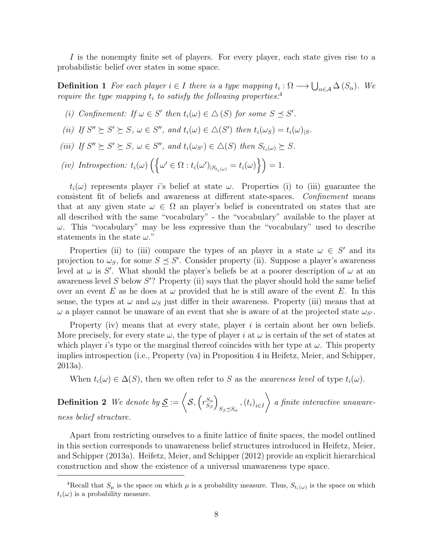I is the nonempty finite set of players. For every player, each state gives rise to a probabilistic belief over states in some space.

**Definition 1** For each player  $i \in I$  there is a type mapping  $t_i : \Omega \longrightarrow \bigcup_{\alpha \in A} \Delta(S_\alpha)$ . We require the type mapping  $t_i$  to satisfy the following properties.<sup>4</sup>

- (i) Confinement: If  $\omega \in S'$  then  $t_i(\omega) \in \Delta(S)$  for some  $S \preceq S'$ .
- (ii) If  $S'' \succeq S' \succeq S$ ,  $\omega \in S''$ , and  $t_i(\omega) \in \Delta(S')$  then  $t_i(\omega_S) = t_i(\omega)_{|S}$ .
- (iii) If  $S'' \succeq S' \succeq S$ ,  $\omega \in S''$ , and  $t_i(\omega_{S'}) \in \Delta(S)$  then  $S_{t_i(\omega)} \succeq S$ .
- (iv) Introspection:  $t_i(\omega) \left( \left\{ \omega' \in \Omega : t_i(\omega')_{|S_{t_i(\omega)}} = t_i(\omega) \right\} \right) = 1.$

 $t_i(\omega)$  represents player is belief at state  $\omega$ . Properties (i) to (iii) guarantee the consistent fit of beliefs and awareness at different state-spaces. Confinement means that at any given state  $\omega \in \Omega$  an player's belief is concentrated on states that are all described with the same "vocabulary" - the "vocabulary" available to the player at  $\omega$ . This "vocabulary" may be less expressive than the "vocabulary" used to describe statements in the state  $\omega$ ."

Properties (ii) to (iii) compare the types of an player in a state  $\omega \in S'$  and its projection to  $\omega_s$ , for some  $S \preceq S'$ . Consider property (ii). Suppose a player's awareness level at  $\omega$  is S'. What should the player's beliefs be at a poorer description of  $\omega$  at an awareness level  $S$  below  $S'$ ? Property (ii) says that the player should hold the same belief over an event E as he does at  $\omega$  provided that he is still aware of the event E. In this sense, the types at  $\omega$  and  $\omega_s$  just differ in their awareness. Property (iii) means that at  $\omega$  a player cannot be unaware of an event that she is aware of at the projected state  $\omega_{S'}$ .

Property (iv) means that at every state, player i is certain about her own beliefs. More precisely, for every state  $\omega$ , the type of player i at  $\omega$  is certain of the set of states at which player i's type or the marginal thereof coincides with her type at  $\omega$ . This property implies introspection (i.e., Property (va) in Proposition 4 in Heifetz, Meier, and Schipper, 2013a).

When  $t_i(\omega) \in \Delta(S)$ , then we often refer to S as the *awareness level* of type  $t_i(\omega)$ .

**Definition 2** We denote by  $S = \langle S, (r_{S_s}^{S_a}) \rangle$  $S_{\beta}$  $\setminus$  $S_{\beta \preceq S_{\alpha}}$ ,  $(t_i)_{i \in I}$  $\setminus$ a finite interactive unawareness belief structure.

Apart from restricting ourselves to a finite lattice of finite spaces, the model outlined in this section corresponds to unawareness belief structures introduced in Heifetz, Meier, and Schipper (2013a). Heifetz, Meier, and Schipper (2012) provide an explicit hierarchical construction and show the existence of a universal unawareness type space.

<sup>&</sup>lt;sup>4</sup>Recall that  $S_{\mu}$  is the space on which  $\mu$  is a probability measure. Thus,  $S_{t_i(\omega)}$  is the space on which  $t_i(\omega)$  is a probability measure.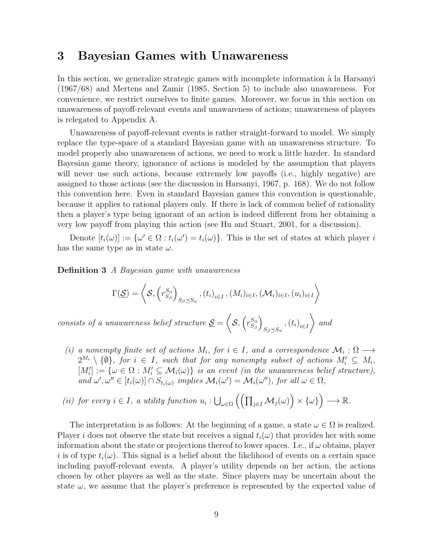## 3 Bayesian Games with Unawareness

In this section, we generalize strategic games with incomplete information à la Harsanyi (1967/68) and Mertens and Zamir (1985, Section 5) to include also unawareness. For convenience, we restrict ourselves to finite games. Moreover, we focus in this section on unawareness of payoff-relevant events and unawareness of actions; unawareness of players is relegated to Appendix A.

Unawareness of payoff-relevant events is rather straight-forward to model. We simply replace the type-space of a standard Bayesian game with an unawareness structure. To model properly also unawareness of actions, we need to work a little harder. In standard Bayesian game theory, ignorance of actions is modeled by the assumption that players will never use such actions, because extremely low payoffs (i.e., highly negative) are assigned to those actions (see the discussion in Harsanyi, 1967, p. 168). We do not follow this convention here. Even in standard Bayesian games this convention is questionable, because it applies to rational players only. If there is lack of common belief of rationality then a player's type being ignorant of an action is indeed different from her obtaining a very low payoff from playing this action (see Hu and Stuart, 2001, for a discussion).

Denote  $[t_i(\omega)] := {\{\omega' \in \Omega : t_i(\omega') = t_i(\omega)\}}$ . This is the set of states at which player i has the same type as in state  $\omega$ .

Definition 3 A Bayesian game with unawareness

$$
\Gamma(\underline{\mathcal{S}})=\left\langle \mathcal{S},\left(r_{S_\beta}^{S_\alpha}\right)_{S_\beta\preceq S_\alpha},(t_i)_{i\in I},(M_i)_{i\in I},(\mathcal{M}_i)_{i\in I},(u_i)_{i\in I}\right\rangle
$$

consists of a unawareness belief structure  $\underline{S} =$  $\sqrt{2}$  $\mathcal{S},\left(r_{S_o}^{S_\alpha}\right)$  $S_{\beta}$  $\setminus$  $S_{\beta \preceq S_{\alpha}}$ ,  $(t_i)_{i \in I}$  $\setminus$ and

(i) a nonempty finite set of actions  $M_i$ , for  $i \in I$ , and a correspondence  $\mathcal{M}_i : \Omega \longrightarrow$  $2^{M_i} \setminus \{\emptyset\}$ , for  $i \in I$ , such that for any nonempty subset of actions  $M_i' \subseteq M_i$ ,  $[M'_i] := \{ \omega \in \Omega : M'_i \subseteq \mathcal{M}_i(\omega) \}$  is an event (in the unawareness belief structure), and  $\omega', \omega'' \in [t_i(\omega)] \cap S_{t_i(\omega)}$  implies  $\mathcal{M}_i(\omega') = \mathcal{M}_i(\omega'')$ , for all  $\omega \in \Omega$ ,

(ii) for every 
$$
i \in I
$$
, a utility function  $u_i : \bigcup_{\omega \in \Omega} \left( \left( \prod_{j \in I} \mathcal{M}_j(\omega) \right) \times \{\omega\} \right) \longrightarrow \mathbb{R}$ .

The interpretation is as follows: At the beginning of a game, a state  $\omega \in \Omega$  is realized. Player i does not observe the state but receives a signal  $t_i(\omega)$  that provides her with some information about the state or projections thereof to lower spaces. I.e., if  $\omega$  obtains, player i is of type  $t_i(\omega)$ . This signal is a belief about the likelihood of events on a certain space including payoff-relevant events. A player's utility depends on her action, the actions chosen by other players as well as the state. Since players may be uncertain about the state  $\omega$ , we assume that the player's preference is represented by the expected value of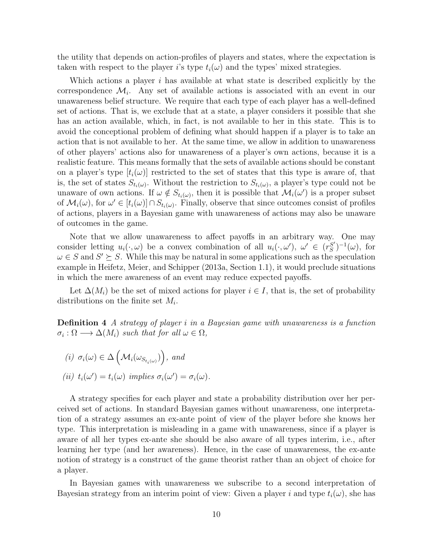the utility that depends on action-profiles of players and states, where the expectation is taken with respect to the player i's type  $t_i(\omega)$  and the types' mixed strategies.

Which actions a player  $i$  has available at what state is described explicitly by the correspondence  $\mathcal{M}_i$ . Any set of available actions is associated with an event in our unawareness belief structure. We require that each type of each player has a well-defined set of actions. That is, we exclude that at a state, a player considers it possible that she has an action available, which, in fact, is not available to her in this state. This is to avoid the conceptional problem of defining what should happen if a player is to take an action that is not available to her. At the same time, we allow in addition to unawareness of other players' actions also for unawareness of a player's own actions, because it is a realistic feature. This means formally that the sets of available actions should be constant on a player's type  $|t_i(\omega)|$  restricted to the set of states that this type is aware of, that is, the set of states  $S_{t_i(\omega)}$ . Without the restriction to  $S_{t_i(\omega)}$ , a player's type could not be unaware of own actions. If  $\omega \notin S_{t_i(\omega)}$ , then it is possible that  $\mathcal{M}_i(\omega')$  is a proper subset of  $\mathcal{M}_i(\omega)$ , for  $\omega' \in [t_i(\omega)] \cap S_{t_i(\omega)}$ . Finally, observe that since outcomes consist of profiles of actions, players in a Bayesian game with unawareness of actions may also be unaware of outcomes in the game.

Note that we allow unawareness to affect payoffs in an arbitrary way. One may consider letting  $u_i(\cdot,\omega)$  be a convex combination of all  $u_i(\cdot,\omega')$ ,  $\omega' \in (r_S^{S'}]$  $S'_{S}$ <sup> $-1$ </sup> $(\omega)$ , for  $\omega \in S$  and  $S' \succeq S$ . While this may be natural in some applications such as the speculation example in Heifetz, Meier, and Schipper (2013a, Section 1.1), it would preclude situations in which the mere awareness of an event may reduce expected payoffs.

Let  $\Delta(M_i)$  be the set of mixed actions for player  $i \in I$ , that is, the set of probability distributions on the finite set  $M_i$ .

Definition 4 A strategy of player i in a Bayesian game with unawareness is a function  $\sigma_i : \Omega \longrightarrow \Delta(M_i)$  such that for all  $\omega \in \Omega$ ,

(i)  $\sigma_i(\omega) \in \Delta\left(\mathcal{M}_i(\omega_{S_{t_i(\omega)}})\right)$ , and

(*ii*) 
$$
t_i(\omega') = t_i(\omega)
$$
 implies  $\sigma_i(\omega') = \sigma_i(\omega)$ .

A strategy specifies for each player and state a probability distribution over her perceived set of actions. In standard Bayesian games without unawareness, one interpretation of a strategy assumes an ex-ante point of view of the player before she knows her type. This interpretation is misleading in a game with unawareness, since if a player is aware of all her types ex-ante she should be also aware of all types interim, i.e., after learning her type (and her awareness). Hence, in the case of unawareness, the ex-ante notion of strategy is a construct of the game theorist rather than an object of choice for a player.

In Bayesian games with unawareness we subscribe to a second interpretation of Bayesian strategy from an interim point of view: Given a player i and type  $t_i(\omega)$ , she has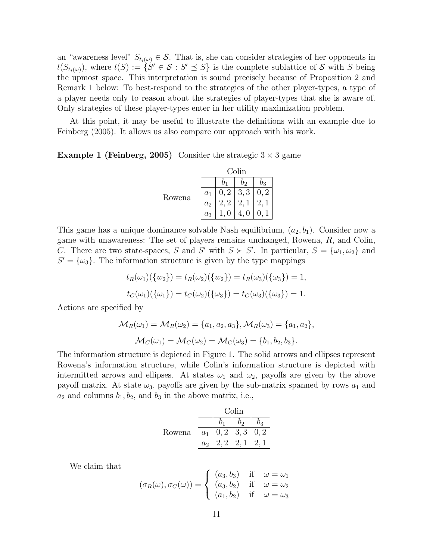an "awareness level"  $S_{t_i(\omega)} \in \mathcal{S}$ . That is, she can consider strategies of her opponents in  $l(S_{t_i(\omega)})$ , where  $l(S) := \{S' \in \mathcal{S} : S' \preceq S\}$  is the complete sublattice of  $\mathcal{S}$  with S being the upmost space. This interpretation is sound precisely because of Proposition 2 and Remark 1 below: To best-respond to the strategies of the other player-types, a type of a player needs only to reason about the strategies of player-types that she is aware of. Only strategies of these player-types enter in her utility maximization problem.

At this point, it may be useful to illustrate the definitions with an example due to Feinberg (2005). It allows us also compare our approach with his work.

**Example 1 (Feinberg, 2005)** Consider the strategic  $3 \times 3$  game

|        | Colin |      |       |       |  |
|--------|-------|------|-------|-------|--|
|        |       |      | $b_2$ | $b_3$ |  |
| Rowena | $a_1$ | 0, 2 | 3, 3  | 0, 2  |  |
|        | $a_2$ |      | 2,    |       |  |
|        | $a_3$ |      | 4,    |       |  |

This game has a unique dominance solvable Nash equilibrium,  $(a_2, b_1)$ . Consider now a game with unawareness: The set of players remains unchanged, Rowena, R, and Colin, C. There are two state-spaces, S and S' with  $S \succ S'$ . In particular,  $S = {\omega_1, \omega_2}$  and  $S' = {\{\omega_3\}}$ . The information structure is given by the type mappings

$$
t_R(\omega_1)(\{w_2\}) = t_R(\omega_2)(\{w_2\}) = t_R(\omega_3)(\{\omega_3\}) = 1,
$$
  

$$
t_C(\omega_1)(\{\omega_1\}) = t_C(\omega_2)(\{\omega_3\}) = t_C(\omega_3)(\{\omega_3\}) = 1.
$$

Actions are specified by

$$
\mathcal{M}_R(\omega_1) = \mathcal{M}_R(\omega_2) = \{a_1, a_2, a_3\}, \mathcal{M}_R(\omega_3) = \{a_1, a_2\}, \mathcal{M}_C(\omega_1) = \mathcal{M}_C(\omega_2) = \mathcal{M}_C(\omega_3) = \{b_1, b_2, b_3\}.
$$

The information structure is depicted in Figure 1. The solid arrows and ellipses represent Rowena's information structure, while Colin's information structure is depicted with intermitted arrows and ellipses. At states  $\omega_1$  and  $\omega_2$ , payoffs are given by the above payoff matrix. At state  $\omega_3$ , payoffs are given by the sub-matrix spanned by rows  $a_1$  and  $a_2$  and columns  $b_1, b_2$ , and  $b_3$  in the above matrix, i.e.,

|        | Colin          |  |                       |      |  |
|--------|----------------|--|-----------------------|------|--|
|        |                |  | bэ                    | Oз   |  |
| Rowena | a <sub>1</sub> |  | $0, 2 \mid 3, 3 \mid$ | 0, 2 |  |
|        | a <sub>2</sub> |  |                       |      |  |

We claim that

$$
(\sigma_R(\omega), \sigma_C(\omega)) = \begin{cases} (a_3, b_3) & \text{if } \omega = \omega_1 \\ (a_3, b_2) & \text{if } \omega = \omega_2 \\ (a_1, b_2) & \text{if } \omega = \omega_3 \end{cases}
$$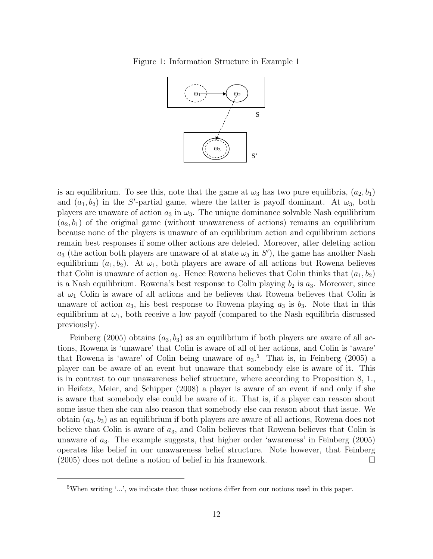Figure 1: Information Structure in Example 1



is an equilibrium. To see this, note that the game at  $\omega_3$  has two pure equilibria,  $(a_2, b_1)$ and  $(a_1, b_2)$  in the S'-partial game, where the latter is payoff dominant. At  $\omega_3$ , both players are unaware of action  $a_3$  in  $\omega_3$ . The unique dominance solvable Nash equilibrium  $(a_2, b_1)$  of the original game (without unawareness of actions) remains an equilibrium because none of the players is unaware of an equilibrium action and equilibrium actions remain best responses if some other actions are deleted. Moreover, after deleting action  $a_3$  (the action both players are unaware of at state  $\omega_3$  in S'), the game has another Nash equilibrium  $(a_1, b_2)$ . At  $\omega_1$ , both players are aware of all actions but Rowena believes that Colin is unaware of action  $a_3$ . Hence Rowena believes that Colin thinks that  $(a_1, b_2)$ is a Nash equilibrium. Rowena's best response to Colin playing  $b_2$  is  $a_3$ . Moreover, since at  $\omega_1$  Colin is aware of all actions and he believes that Rowena believes that Colin is unaware of action  $a_3$ , his best response to Rowena playing  $a_3$  is  $b_3$ . Note that in this equilibrium at  $\omega_1$ , both receive a low payoff (compared to the Nash equilibria discussed previously).

Feinberg (2005) obtains  $(a_3, b_3)$  as an equilibrium if both players are aware of all actions, Rowena is 'unaware' that Colin is aware of all of her actions, and Colin is 'aware' that Rowena is 'aware' of Colin being unaware of  $a_3$ .<sup>5</sup> That is, in Feinberg (2005) a player can be aware of an event but unaware that somebody else is aware of it. This is in contrast to our unawareness belief structure, where according to Proposition 8, 1., in Heifetz, Meier, and Schipper (2008) a player is aware of an event if and only if she is aware that somebody else could be aware of it. That is, if a player can reason about some issue then she can also reason that somebody else can reason about that issue. We obtain  $(a_3, b_3)$  as an equilibrium if both players are aware of all actions, Rowena does not believe that Colin is aware of  $a_3$ , and Colin believes that Rowena believes that Colin is unaware of  $a_3$ . The example suggests, that higher order 'awareness' in Feinberg (2005) operates like belief in our unawareness belief structure. Note however, that Feinberg (2005) does not define a notion of belief in his framework.

<sup>&</sup>lt;sup>5</sup>When writing '...', we indicate that those notions differ from our notions used in this paper.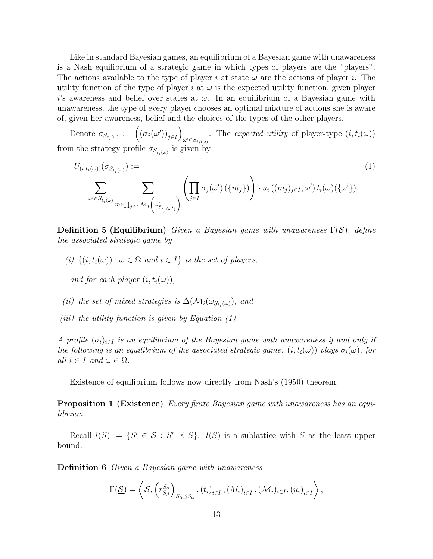Like in standard Bayesian games, an equilibrium of a Bayesian game with unawareness is a Nash equilibrium of a strategic game in which types of players are the "players". The actions available to the type of player i at state  $\omega$  are the actions of player i. The utility function of the type of player i at  $\omega$  is the expected utility function, given player i's awareness and belief over states at  $\omega$ . In an equilibrium of a Bayesian game with unawareness, the type of every player chooses an optimal mixture of actions she is aware of, given her awareness, belief and the choices of the types of the other players.

Denote  $\sigma_{S_{t_i(\omega)}} := ((\sigma_j(\omega'))_{j \in I})$ . The expected utility of player-type  $(i, t_i(\omega))$ <br> $\omega' \in S_{t_i(\omega)}$ from the strategy profile  $\sigma_{S_{t_i(\omega)}}$  is given by

$$
U_{(i,t_i(\omega))}(\sigma_{S_{t_i(\omega)}}) := \sum_{\omega' \in S_{t_i(\omega)}} \sum_{m \in \prod_{j \in I} M_j(\omega'_{S_{t_j(\omega')}})} \left( \prod_{j \in I} \sigma_j(\omega') (\{m_j\}) \right) \cdot u_i((m_j)_{j \in I}, \omega') t_i(\omega) (\{\omega'\}).
$$
\n(1)

**Definition 5 (Equilibrium)** Given a Bayesian game with unawareness  $\Gamma(S)$ , define the associated strategic game by

(i)  $\{(i, t_i(\omega)) : \omega \in \Omega \text{ and } i \in I\}$  is the set of players,

and for each player  $(i, t_i(\omega))$ ,

- (ii) the set of mixed strategies is  $\Delta(\mathcal{M}_i(\omega_{S_{t_i}(\omega)})$ , and
- (iii) the utility function is given by Equation  $(1)$ .

A profile  $(\sigma_i)_{i\in I}$  is an equilibrium of the Bayesian game with unawareness if and only if the following is an equilibrium of the associated strategic game:  $(i, t_i(\omega))$  plays  $\sigma_i(\omega)$ , for all  $i \in I$  and  $\omega \in \Omega$ .

Existence of equilibrium follows now directly from Nash's (1950) theorem.

**Proposition 1 (Existence)** Every finite Bayesian game with unawareness has an equilibrium.

Recall  $l(S) := \{S' \in S : S' \preceq S\}$ .  $l(S)$  is a sublattice with S as the least upper bound.

Definition 6 Given a Bayesian game with unawareness

$$
\Gamma(\underline{\mathcal{S}})=\left\langle \mathcal{S},\left(r_{S_{\beta}}^{S_{\alpha}}\right)_{S_{\beta}\preceq S_{\alpha}},(t_{i})_{i\in I},(M_{i})_{i\in I},(\mathcal{M}_{i})_{i\in I},(u_{i})_{i\in I}\right\rangle,
$$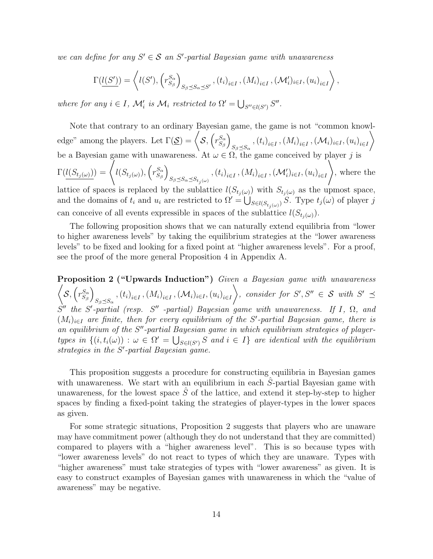we can define for any  $S' \in \mathcal{S}$  an  $S'$ -partial Bayesian game with unawareness

$$
\Gamma(\underbrace{l(S')}) = \left\langle l(S'), \left(r_{S_{\beta}}^{S_{\alpha}}\right)_{S_{\beta} \preceq S_{\alpha} \preceq S'}, (t_i)_{i \in I}, (M_i)_{i \in I}, (\mathcal{M}'_i)_{i \in I}, (u_i)_{i \in I}\right\rangle,
$$

where for any  $i \in I$ ,  $\mathcal{M}'_i$  is  $\mathcal{M}_i$  restricted to  $\Omega' = \bigcup_{S'' \in l(S')} S''$ .

Note that contrary to an ordinary Bayesian game, the game is not "common knowledge" among the players. Let  $\Gamma(\mathcal{S}) = \langle S, (r_{S_s}^{S_{\alpha}}) \rangle$  $S_{\beta}$  $\setminus$  $_{S_{\beta}\preceq S_{\alpha}}$  ,  $\left(t_{i}\right)_{i\in I}$  ,  $\left(M_{i}\right)_{i\in I}$  ,  $\left(\mathcal{M}_{i}\right)_{i\in I}$  ,  $\left(u_{i}\right)_{i\in I}$  $\setminus$ be a Bayesian game with unawareness. At  $\omega \in \Omega$ , the game conceived by player j is  $\Gamma (l(S_{t_j(\omega)})) = \Biggl\langle l(S_{t_j(\omega)}), \Bigl( r_{S_{\beta}}^{S_{\alpha}} \Biggr)$  $S_{\beta}$  $\setminus$  $s_{\beta \preceq S_\alpha \preceq S_{t_j(\omega)}}$  ,  $\left(t_i\right)_{i\in I}$  ,  $\left(M_i\right)_{i\in I}$  ,  $\left(\mathcal{M}'_i\right)_{i\in I}$  ,  $\left(u_i\right)_{i\in I}$  $\setminus$ , where the lattice of spaces is replaced by the sublattice  $l(S_{t_j(\omega)})$  with  $S_{t_j(\omega)}$  as the upmost space, and the domains of  $t_i$  and  $u_i$  are restricted to  $\Omega' = \bigcup_{S \in l(S_{t_j(\omega)})} S$ . Type  $t_j(\omega)$  of player j can conceive of all events expressible in spaces of the sublattice  $l(S_{t_i(\omega)})$ .

The following proposition shows that we can naturally extend equilibria from "lower to higher awareness levels" by taking the equilibrium strategies at the "lower awareness levels" to be fixed and looking for a fixed point at "higher awareness levels". For a proof, see the proof of the more general Proposition 4 in Appendix A.

**Proposition 2 ("Upwards Induction")** Given a Bayesian game with unawareness  $\sqrt{2}$  $\mathcal{S}, \left(r_{S_o}^{S_\alpha}\right)$  $S_{\beta}$  $\setminus$  $_{S_{\beta}\preceq S_{\alpha}}$  ,  $\left(t_{i}\right)_{i\in I}$  ,  $\left(M_{i}\right)_{i\in I}$  ,  $\left(\mathcal{M}_{i}\right)_{i\in I}$  ,  $\left(u_{i}\right)_{i\in I}$  $\setminus$ , consider for  $S', S'' \in \mathcal{S}$  with  $S' \preceq$  $S''$  the S'-partial (resp. S'' -partial) Bayesian game with unawareness. If I,  $\Omega$ , and  $(M_i)_{i\in I}$  are finite, then for every equilibrium of the S'-partial Bayesian game, there is an equilibrium of the  $S''$ -partial Bayesian game in which equilibrium strategies of playertypes in  $\{(i, t_i(\omega)) : \omega \in \Omega' = \bigcup_{S \in l(S')} S \text{ and } i \in I\}$  are identical with the equilibrium strategies in the  $S'$ -partial Bayesian game.

This proposition suggests a procedure for constructing equilibria in Bayesian games with unawareness. We start with an equilibrium in each  $\ddot{S}$ -partial Bayesian game with unawareness, for the lowest space  $\tilde{S}$  of the lattice, and extend it step-by-step to higher spaces by finding a fixed-point taking the strategies of player-types in the lower spaces as given.

For some strategic situations, Proposition 2 suggests that players who are unaware may have commitment power (although they do not understand that they are committed) compared to players with a "higher awareness level". This is so because types with "lower awareness levels" do not react to types of which they are unaware. Types with "higher awareness" must take strategies of types with "lower awareness" as given. It is easy to construct examples of Bayesian games with unawareness in which the "value of awareness" may be negative.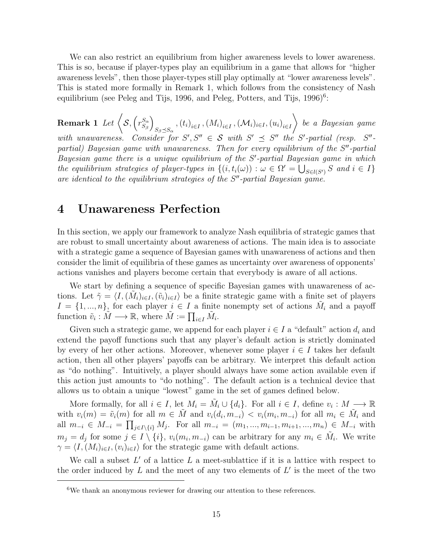We can also restrict an equilibrium from higher awareness levels to lower awareness. This is so, because if player-types play an equilibrium in a game that allows for "higher awareness levels", then those player-types still play optimally at "lower awareness levels". This is stated more formally in Remark 1, which follows from the consistency of Nash equilibrium (see Peleg and Tijs, 1996, and Peleg, Potters, and Tijs, 1996)<sup>6</sup>:

 $\textbf{Remark 1} \; \textit{Let} \; \Big\langle \mathcal{S}, \big(r_{S_\mathrm{e}}^{S_\alpha}\Big) \Big\rangle$  $S_{\beta}$  $\setminus$  $_{S_{\beta}\preceq S_{\alpha}}$  ,  $\left(t_{i}\right)_{i\in I}$  ,  $\left(M_{i}\right)_{i\in I}$  ,  $\left(\mathcal{M}_{i}\right)_{i\in I}$  ,  $\left(u_{i}\right)_{i\in I}$  $\setminus$ be a Bayesian game with unawareness. Consider for  $S', S'' \in S$  with  $S' \preceq S''$  the S'-partial (resp.  $S''$ partial) Bayesian game with unawareness. Then for every equilibrium of the  $S''$ -partial Bayesian game there is a unique equilibrium of the  $S'$ -partial Bayesian game in which the equilibrium strategies of player-types in  $\{(i,t_i(\omega)) : \omega \in \Omega' = \bigcup_{S \in l(S')} S \text{ and } i \in I\}$ are identical to the equilibrium strategies of the  $S<sup>n</sup>$ -partial Bayesian game.

## 4 Unawareness Perfection

In this section, we apply our framework to analyze Nash equilibria of strategic games that are robust to small uncertainty about awareness of actions. The main idea is to associate with a strategic game a sequence of Bayesian games with unawareness of actions and then consider the limit of equilibria of these games as uncertainty over awareness of opponents' actions vanishes and players become certain that everybody is aware of all actions.

We start by defining a sequence of specific Bayesian games with unawareness of actions. Let  $\tilde{\gamma} = \langle I,(\tilde{M}_i)_{i\in I},(\tilde{v}_i)_{i\in I}\rangle$  be a finite strategic game with a finite set of players  $I = \{1, ..., n\}$ , for each player  $i \in I$  a finite nonempty set of actions  $\tilde{M}_i$  and a payoff function  $\tilde{v}_i : \tilde{M} \longrightarrow \mathbb{R}$ , where  $\tilde{M} := \prod_{i \in I} \tilde{M}_i$ .

Given such a strategic game, we append for each player  $i \in I$  a "default" action  $d_i$  and extend the payoff functions such that any player's default action is strictly dominated by every of her other actions. Moreover, whenever some player  $i \in I$  takes her default action, then all other players' payoffs can be arbitrary. We interpret this default action as "do nothing". Intuitively, a player should always have some action available even if this action just amounts to "do nothing". The default action is a technical device that allows us to obtain a unique "lowest" game in the set of games defined below.

More formally, for all  $i \in I$ , let  $M_i = \tilde{M}_i \cup \{d_i\}$ . For all  $i \in I$ , define  $v_i : M \longrightarrow \mathbb{R}$ with  $v_i(m) = \tilde{v}_i(m)$  for all  $m \in \tilde{M}$  and  $v_i(d_i, m_{-i}) < v_i(m_i, m_{-i})$  for all  $m_i \in \tilde{M}_i$  and all  $m_{-i} \in M_{-i} = \prod_{j \in I \setminus \{i\}} M_j$ . For all  $m_{-i} = (m_1, ..., m_{i-1}, m_{i+1}, ..., m_n) \in M_{-i}$  with  $m_j = d_j$  for some  $j \in I \setminus \{i\}, v_i(m_i, m_{-i})$  can be arbitrary for any  $m_i \in \tilde{M}_i$ . We write  $\gamma = \langle I,(M_i)_{i\in I},(v_i)_{i\in I}\rangle$  for the strategic game with default actions.

We call a subset  $L'$  of a lattice  $L$  a meet-sublattice if it is a lattice with respect to the order induced by  $L$  and the meet of any two elements of  $L'$  is the meet of the two

 $6$ We thank an anonymous reviewer for drawing our attention to these references.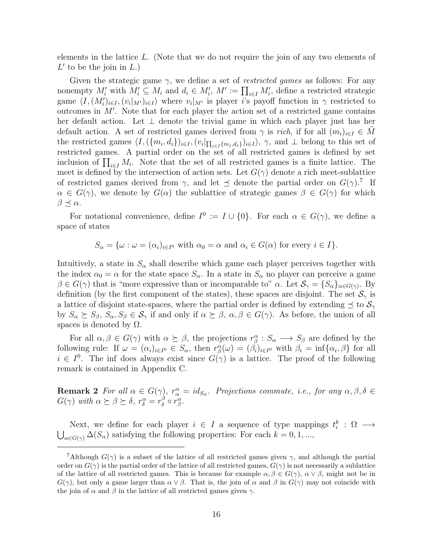elements in the lattice L. (Note that we do not require the join of any two elements of  $L'$  to be the join in  $L$ .)

Given the strategic game  $\gamma$ , we define a set of *restricted games* as follows: For any nonempty  $M'_i$  with  $M'_i \subseteq M_i$  and  $d_i \in M'_i$ ,  $M' := \prod_{i \in I} M'_i$ , define a restricted strategic game  $\langle I,(M_i')_{i\in I},(v_i|_{M'})_{i\in I}\rangle$  where  $v_i|_{M'}$  is player i's payoff function in  $\gamma$  restricted to outcomes in  $M'$ . Note that for each player the action set of a restricted game contains her default action. Let ⊥ denote the trivial game in which each player just has her default action. A set of restricted games derived from  $\gamma$  is rich, if for all  $(m_i)_{i\in I} \in M$ the restricted games  $\langle I, (\{m_i, d_i\})_{i \in I}, (v_i|_{\prod_{j \in I} \{m_j, d_j\}})_{i \in I} \rangle$ ,  $\gamma$ , and  $\bot$  belong to this set of restricted games. A partial order on the set of all restricted games is defined by set inclusion of  $\prod_{i\in I} M_i$ . Note that the set of all restricted games is a finite lattice. The meet is defined by the intersection of action sets. Let  $G(\gamma)$  denote a rich meet-sublattice of restricted games derived from  $\gamma$ , and let  $\preceq$  denote the partial order on  $G(\gamma)$ .<sup>7</sup> If  $\alpha \in G(\gamma)$ , we denote by  $G(\alpha)$  the sublattice of strategic games  $\beta \in G(\gamma)$  for which  $\beta \preceq \alpha$ .

For notational convenience, define  $I^0 := I \cup \{0\}$ . For each  $\alpha \in G(\gamma)$ , we define a space of states

 $S_{\alpha} = {\{\omega : \omega = (\alpha_i)_{i \in I^0} \text{ with } \alpha_0 = \alpha \text{ and } \alpha_i \in G(\alpha) \text{ for every } i \in I\}}.$ 

Intuitively, a state in  $S_{\alpha}$  shall describe which game each player perceives together with the index  $\alpha_0 = \alpha$  for the state space  $S_{\alpha}$ . In a state in  $S_{\alpha}$  no player can perceive a game  $\beta \in G(\gamma)$  that is "more expressive than or incomparable to"  $\alpha$ . Let  $\mathcal{S}_{\gamma} = \{S_{\alpha}\}_{{\alpha \in G(\gamma)}}$ . By definition (by the first component of the states), these spaces are disjoint. The set  $\mathcal{S}_{\gamma}$  is a lattice of disjoint state-spaces, where the partial order is defined by extending  $\preceq$  to  $\mathcal{S}_{\gamma}$ by  $S_{\alpha} \succeq S_{\beta}, S_{\alpha}, S_{\beta} \in S_{\gamma}$  if and only if  $\alpha \succeq \beta, \alpha, \beta \in G(\gamma)$ . As before, the union of all spaces is denoted by  $\Omega$ .

For all  $\alpha, \beta \in G(\gamma)$  with  $\alpha \succeq \beta$ , the projections  $r^{\alpha}_{\beta}: S_{\alpha} \longrightarrow S_{\beta}$  are defined by the following rule: If  $\omega = (\alpha_i)_{i \in I^0} \in S_\alpha$ , then  $r_\beta^\alpha(\omega) = (\beta_i)_{i \in I^0}$  with  $\beta_i = \inf{\alpha_i, \beta}$  for all  $i \in I^0$ . The inf does always exist since  $G(\gamma)$  is a lattice. The proof of the following remark is contained in Appendix C.

**Remark 2** For all  $\alpha \in G(\gamma)$ ,  $r^{\alpha}_{\alpha} = id_{S_{\alpha}}$ . Projections commute, i.e., for any  $\alpha, \beta, \delta \in$  $G(\gamma)$  with  $\alpha \succeq \beta \succeq \delta$ ,  $r^{\alpha}_{\delta} = r^{\beta}_{\delta}$  $\frac{\beta}{\delta} \circ r^{\alpha}_{\beta}.$ 

Next, we define for each player  $i \in I$  a sequence of type mappings  $t_i^k : \Omega \longrightarrow$  $\bigcup_{\alpha \in G(\gamma)} \Delta(S_\alpha)$  satisfying the following properties: For each  $k = 0, 1, ...,$ 

<sup>&</sup>lt;sup>7</sup>Although  $G(\gamma)$  is a subset of the lattice of all restricted games given  $\gamma$ , and although the partial order on  $G(\gamma)$  is the partial order of the lattice of all restricted games,  $G(\gamma)$  is not necessarily a sublattice of the lattice of all restricted games. This is because for example  $\alpha, \beta \in G(\gamma)$ ,  $\alpha \vee \beta$ , might not be in  $G(\gamma)$ , but only a game larger than  $\alpha \vee \beta$ . That is, the join of  $\alpha$  and  $\beta$  in  $G(\gamma)$  may not coincide with the join of  $\alpha$  and  $\beta$  in the lattice of all restricted games given  $\gamma$ .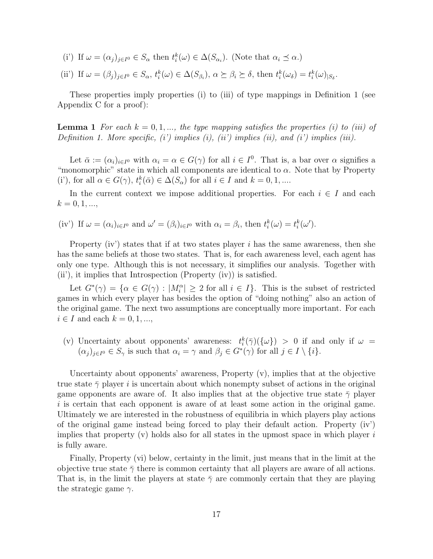- (i') If  $\omega = (\alpha_j)_{j \in I^0} \in S_\alpha$  then  $t_i^k(\omega) \in \Delta(S_{\alpha_i})$ . (Note that  $\alpha_i \preceq \alpha$ .)
- (ii') If  $\omega = (\beta_j)_{j \in I^0} \in S_\alpha$ ,  $t_i^k(\omega) \in \Delta(S_{\beta_i})$ ,  $\alpha \succeq \beta_i \succeq \delta$ , then  $t_i^k(\omega_\delta) = t_i^k(\omega)_{|S_\delta}$ .

These properties imply properties (i) to (iii) of type mappings in Definition 1 (see Appendix C for a proof):

**Lemma 1** For each  $k = 0, 1, \ldots$ , the type mapping satisfies the properties (i) to (iii) of Definition 1. More specific,  $(i')$  implies  $(i)$ ,  $(ii')$  implies  $(ii)$ , and  $(i')$  implies  $(iii)$ .

Let  $\bar{\alpha} := (\alpha_i)_{i \in I^0}$  with  $\alpha_i = \alpha \in G(\gamma)$  for all  $i \in I^0$ . That is, a bar over  $\alpha$  signifies a "monomorphic" state in which all components are identical to  $\alpha$ . Note that by Property (i'), for all  $\alpha \in G(\gamma)$ ,  $t_i^k(\bar{\alpha}) \in \Delta(S_\alpha)$  for all  $i \in I$  and  $k = 0, 1, ...$ 

In the current context we impose additional properties. For each  $i \in I$  and each  $k = 0, 1, ...,$ 

(iv') If  $\omega = (\alpha_i)_{i \in I^0}$  and  $\omega' = (\beta_i)_{i \in I^0}$  with  $\alpha_i = \beta_i$ , then  $t_i^k(\omega) = t_i^k(\omega')$ .

Property (iv') states that if at two states player  $i$  has the same awareness, then she has the same beliefs at those two states. That is, for each awareness level, each agent has only one type. Although this is not necessary, it simplifies our analysis. Together with (ii'), it implies that Introspection (Property (iv)) is satisfied.

Let  $G^*(\gamma) = {\alpha \in G(\gamma) : |M_i^{\alpha}| \ge 2 \text{ for all } i \in I}.$  This is the subset of restricted games in which every player has besides the option of "doing nothing" also an action of the original game. The next two assumptions are conceptually more important. For each  $i \in I$  and each  $k = 0, 1, \ldots$ 

(v) Uncertainty about opponents' awareness:  $t_i^k(\bar{\gamma}) (\{\omega\}) > 0$  if and only if  $\omega =$  $(\alpha_j)_{j\in I^0} \in S_\gamma$  is such that  $\alpha_i = \gamma$  and  $\beta_j \in G^*(\gamma)$  for all  $j \in I \setminus \{i\}.$ 

Uncertainty about opponents' awareness, Property (v), implies that at the objective true state  $\bar{\gamma}$  player i is uncertain about which nonempty subset of actions in the original game opponents are aware of. It also implies that at the objective true state  $\bar{\gamma}$  player  $i$  is certain that each opponent is aware of at least some action in the original game. Ultimately we are interested in the robustness of equilibria in which players play actions of the original game instead being forced to play their default action. Property (iv') implies that property (v) holds also for all states in the upmost space in which player  $i$ is fully aware.

Finally, Property (vi) below, certainty in the limit, just means that in the limit at the objective true state  $\bar{\gamma}$  there is common certainty that all players are aware of all actions. That is, in the limit the players at state  $\bar{\gamma}$  are commonly certain that they are playing the strategic game  $\gamma$ .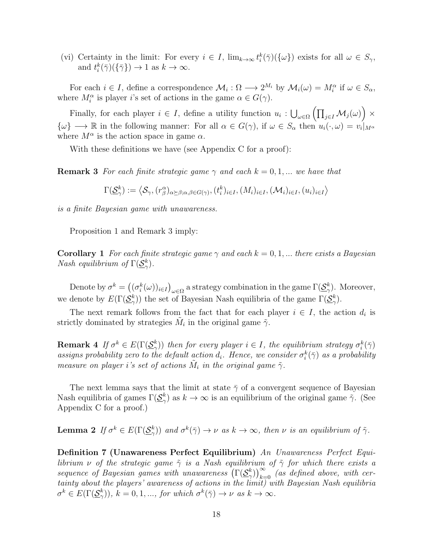(vi) Certainty in the limit: For every  $i \in I$ ,  $\lim_{k \to \infty} t_i^k(\bar{\gamma}) (\{\omega\})$  exists for all  $\omega \in S_{\gamma}$ , and  $t_i^k(\bar{\gamma})(\{\bar{\gamma}\}) \to 1$  as  $k \to \infty$ .

For each  $i \in I$ , define a correspondence  $\mathcal{M}_i : \Omega \longrightarrow 2^{M_i}$  by  $\mathcal{M}_i(\omega) = M_i^{\alpha}$  if  $\omega \in S_{\alpha}$ , where  $M_i^{\alpha}$  is player *i*'s set of actions in the game  $\alpha \in G(\gamma)$ .

Finally, for each player  $i \in I$ , define a utility function  $u_i : \bigcup_{\omega \in \Omega} (\prod_{j \in I} M_j(\omega)) \times$  $\{\omega\} \longrightarrow \mathbb{R}$  in the following manner: For all  $\alpha \in G(\gamma)$ , if  $\omega \in S_\alpha$  then  $u_i(\cdot,\omega) = v_i|_{M^\alpha}$ where  $M^{\alpha}$  is the action space in game  $\alpha$ .

With these definitions we have (see Appendix C for a proof):

**Remark 3** For each finite strategic game  $\gamma$  and each  $k = 0, 1, ...$  we have that

 $\Gamma(\underline{\mathcal{S}}^k_{\gamma}):=\left\langle \mathcal{S}_{\gamma},(r^{\alpha}_{\beta})_{\alpha\succeq\beta;\alpha,\beta\in G(\gamma)},(t^k_i)_{i\in I},(M_i)_{i\in I},(\mathcal{M}_i)_{i\in I},(u_i)_{i\in I}\right\rangle$ 

is a finite Bayesian game with unawareness.

Proposition 1 and Remark 3 imply:

**Corollary 1** For each finite strategic game  $\gamma$  and each  $k = 0, 1, ...$  there exists a Bayesian *Nash equilibrium of*  $\Gamma(\underline{\mathcal{S}}_{\gamma}^k)$ .

Denote by  $\sigma^k = ((\sigma_i^k(\omega))_{i \in I})_{\omega \in \Omega}$  a strategy combination in the game  $\Gamma(\underline{\mathcal{S}}_{\gamma}^k)$ . Moreover, we denote by  $E(\Gamma(\underline{\mathcal{S}}_{\gamma}^k))$  the set of Bayesian Nash equilibria of the game  $\Gamma(\underline{\mathcal{S}}_{\gamma}^k)$ .

The next remark follows from the fact that for each player  $i \in I$ , the action  $d_i$  is strictly dominated by strategies  $\tilde{M}_i$  in the original game  $\tilde{\gamma}$ .

**Remark 4** If  $\sigma^k \in E(\Gamma(\underline{\mathcal{S}}^k_{\gamma}))$  then for every player  $i \in I$ , the equilibrium strategy  $\sigma_i^k(\bar{\gamma})$ assigns probability zero to the default action  $d_i$ . Hence, we consider  $\sigma_i^k(\bar{\gamma})$  as a probability measure on player i's set of actions  $\tilde{M}_i$  in the original game  $\tilde{\gamma}$ .

The next lemma says that the limit at state  $\bar{\gamma}$  of a convergent sequence of Bayesian Nash equilibria of games  $\Gamma(\underline{\mathcal{S}}_{\gamma}^k)$  as  $k \to \infty$  is an equilibrium of the original game  $\tilde{\gamma}$ . (See Appendix C for a proof.)

**Lemma 2** If  $\sigma^k \in E(\Gamma(\underline{\mathcal{S}}_{\gamma}^k))$  and  $\sigma^k(\overline{\gamma}) \to \nu$  as  $k \to \infty$ , then  $\nu$  is an equilibrium of  $\tilde{\gamma}$ .

Definition 7 (Unawareness Perfect Equilibrium) An Unawareness Perfect Equilibrium  $\nu$  of the strategic game  $\tilde{\gamma}$  is a Nash equilibrium of  $\tilde{\gamma}$  for which there exists a sequence of Bayesian games with unawareness  $(\Gamma(\underline{\mathcal{S}}_{\gamma}^k))_{k=0}^{\infty}$  (as defined above, with certainty about the players' awareness of actions in the limit) with Bayesian Nash equilibria  $\sigma^k \in E(\Gamma(\underline{\mathcal{S}}_{\gamma}^k)), k = 0, 1, ..., \text{ for which } \sigma^k(\overline{\gamma}) \to \nu \text{ as } k \to \infty.$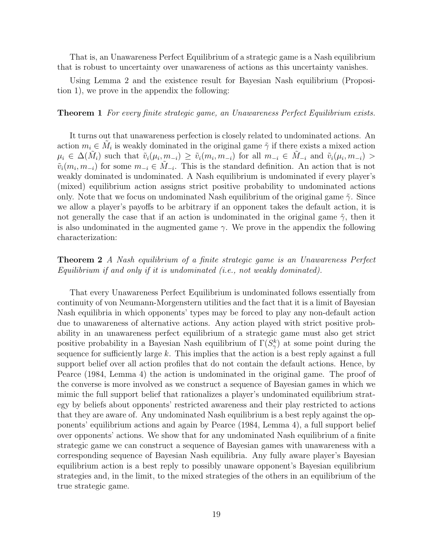That is, an Unawareness Perfect Equilibrium of a strategic game is a Nash equilibrium that is robust to uncertainty over unawareness of actions as this uncertainty vanishes.

Using Lemma 2 and the existence result for Bayesian Nash equilibrium (Proposition 1), we prove in the appendix the following:

#### Theorem 1 For every finite strategic game, an Unawareness Perfect Equilibrium exists.

It turns out that unawareness perfection is closely related to undominated actions. An action  $m_i \in \tilde{M}_i$  is weakly dominated in the original game  $\tilde{\gamma}$  if there exists a mixed action  $\mu_i \in \Delta(\tilde{M}_i)$  such that  $\tilde{v}_i(\mu_i, m_{-i}) \geq \tilde{v}_i(m_i, m_{-i})$  for all  $m_{-i} \in \tilde{M}_{-i}$  and  $\tilde{v}_i(\mu_i, m_{-i}) >$  $\tilde{v}_i(m_i, m_{-i})$  for some  $m_{-i} \in \tilde{M}_{-i}$ . This is the standard definition. An action that is not weakly dominated is undominated. A Nash equilibrium is undominated if every player's (mixed) equilibrium action assigns strict positive probability to undominated actions only. Note that we focus on undominated Nash equilibrium of the original game  $\tilde{\gamma}$ . Since we allow a player's payoffs to be arbitrary if an opponent takes the default action, it is not generally the case that if an action is undominated in the original game  $\tilde{\gamma}$ , then it is also undominated in the augmented game  $\gamma$ . We prove in the appendix the following characterization:

### Theorem 2 A Nash equilibrium of a finite strategic game is an Unawareness Perfect Equilibrium if and only if it is undominated (i.e., not weakly dominated).

That every Unawareness Perfect Equilibrium is undominated follows essentially from continuity of von Neumann-Morgenstern utilities and the fact that it is a limit of Bayesian Nash equilibria in which opponents' types may be forced to play any non-default action due to unawareness of alternative actions. Any action played with strict positive probability in an unawareness perfect equilibrium of a strategic game must also get strict positive probability in a Bayesian Nash equilibrium of  $\Gamma(S^k_\gamma)$  at some point during the sequence for sufficiently large  $k$ . This implies that the action is a best reply against a full support belief over all action profiles that do not contain the default actions. Hence, by Pearce (1984, Lemma 4) the action is undominated in the original game. The proof of the converse is more involved as we construct a sequence of Bayesian games in which we mimic the full support belief that rationalizes a player's undominated equilibrium strategy by beliefs about opponents' restricted awareness and their play restricted to actions that they are aware of. Any undominated Nash equilibrium is a best reply against the opponents' equilibrium actions and again by Pearce (1984, Lemma 4), a full support belief over opponents' actions. We show that for any undominated Nash equilibrium of a finite strategic game we can construct a sequence of Bayesian games with unawareness with a corresponding sequence of Bayesian Nash equilibria. Any fully aware player's Bayesian equilibrium action is a best reply to possibly unaware opponent's Bayesian equilibrium strategies and, in the limit, to the mixed strategies of the others in an equilibrium of the true strategic game.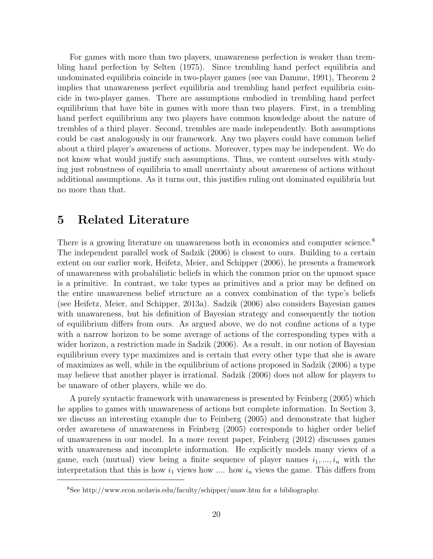For games with more than two players, unawareness perfection is weaker than trembling hand perfection by Selten (1975). Since trembling hand perfect equilibria and undominated equilibria coincide in two-player games (see van Damme, 1991), Theorem 2 implies that unawareness perfect equilibria and trembling hand perfect equilibria coincide in two-player games. There are assumptions embodied in trembling hand perfect equilibrium that have bite in games with more than two players. First, in a trembling hand perfect equilibrium any two players have common knowledge about the nature of trembles of a third player. Second, trembles are made independently. Both assumptions could be cast analogously in our framework. Any two players could have common belief about a third player's awareness of actions. Moreover, types may be independent. We do not know what would justify such assumptions. Thus, we content ourselves with studying just robustness of equilibria to small uncertainty about awareness of actions without additional assumptions. As it turns out, this justifies ruling out dominated equilibria but no more than that.

## 5 Related Literature

There is a growing literature on unawareness both in economics and computer science.<sup>8</sup> The independent parallel work of Sadzik (2006) is closest to ours. Building to a certain extent on our earlier work, Heifetz, Meier, and Schipper (2006), he presents a framework of unawareness with probabilistic beliefs in which the common prior on the upmost space is a primitive. In contrast, we take types as primitives and a prior may be defined on the entire unawareness belief structure as a convex combination of the type's beliefs (see Heifetz, Meier, and Schipper, 2013a). Sadzik (2006) also considers Bayesian games with unawareness, but his definition of Bayesian strategy and consequently the notion of equilibrium differs from ours. As argued above, we do not confine actions of a type with a narrow horizon to be some average of actions of the corresponding types with a wider horizon, a restriction made in Sadzik (2006). As a result, in our notion of Bayesian equilibrium every type maximizes and is certain that every other type that she is aware of maximizes as well, while in the equilibrium of actions proposed in Sadzik (2006) a type may believe that another player is irrational. Sadzik (2006) does not allow for players to be unaware of other players, while we do.

A purely syntactic framework with unawareness is presented by Feinberg (2005) which he applies to games with unawareness of actions but complete information. In Section 3, we discuss an interesting example due to Feinberg (2005) and demonstrate that higher order awareness of unawareness in Feinberg (2005) corresponds to higher order belief of unawareness in our model. In a more recent paper, Feinberg (2012) discusses games with unawareness and incomplete information. He explicitly models many views of a game, each (mutual) view being a finite sequence of player names  $i_1, ..., i_n$  with the interpretation that this is how  $i_1$  views how .... how  $i_n$  views the game. This differs from

<sup>8</sup>See http://www.econ.ucdavis.edu/faculty/schipper/unaw.htm for a bibliography.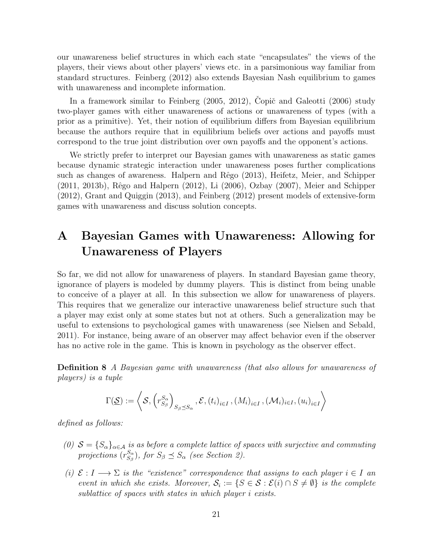our unawareness belief structures in which each state "encapsulates" the views of the players, their views about other players' views etc. in a parsimonious way familiar from standard structures. Feinberg (2012) also extends Bayesian Nash equilibrium to games with unawareness and incomplete information.

In a framework similar to Feinberg  $(2005, 2012)$ , Copič and Galeotti  $(2006)$  study two-player games with either unawareness of actions or unawareness of types (with a prior as a primitive). Yet, their notion of equilibrium differs from Bayesian equilibrium because the authors require that in equilibrium beliefs over actions and payoffs must correspond to the true joint distribution over own payoffs and the opponent's actions.

We strictly prefer to interpret our Bayesian games with unawareness as static games because dynamic strategic interaction under unawareness poses further complications such as changes of awareness. Halpern and Rêgo (2013), Heifetz, Meier, and Schipper (2011, 2013b), Rêgo and Halpern (2012), Li (2006), Ozbay (2007), Meier and Schipper (2012), Grant and Quiggin (2013), and Feinberg (2012) present models of extensive-form games with unawareness and discuss solution concepts.

# A Bayesian Games with Unawareness: Allowing for Unawareness of Players

So far, we did not allow for unawareness of players. In standard Bayesian game theory, ignorance of players is modeled by dummy players. This is distinct from being unable to conceive of a player at all. In this subsection we allow for unawareness of players. This requires that we generalize our interactive unawareness belief structure such that a player may exist only at some states but not at others. Such a generalization may be useful to extensions to psychological games with unawareness (see Nielsen and Sebald, 2011). For instance, being aware of an observer may affect behavior even if the observer has no active role in the game. This is known in psychology as the observer effect.

Definition 8 A Bayesian game with unawareness (that also allows for unawareness of players) is a tuple

$$
\Gamma(\underline{\mathcal{S}}) := \left\langle \mathcal{S}, \left( r_{S_{\beta}}^{S_{\alpha}} \right)_{S_{\beta} \leq S_{\alpha}}, \mathcal{E}, \left( t_{i} \right)_{i \in I}, \left( M_{i} \right)_{i \in I}, \left( \mathcal{M}_{i} \right)_{i \in I}, \left( u_{i} \right)_{i \in I} \right\rangle
$$

defined as follows:

- (0)  $S = \{S_{\alpha}\}_{{\alpha \in A}}$  is as before a complete lattice of spaces with surjective and commuting projections  $(r_{S_2}^{S_{\alpha}})$  $S_{S_{\beta}}^{S_{\alpha}}$ , for  $S_{\beta} \preceq S_{\alpha}$  (see Section 2).
- (i)  $\mathcal{E}: I \longrightarrow \Sigma$  is the "existence" correspondence that assigns to each player  $i \in I$  an event in which she exists. Moreover,  $S_i := \{S \in \mathcal{S} : \mathcal{E}(i) \cap S \neq \emptyset\}$  is the complete sublattice of spaces with states in which player i exists.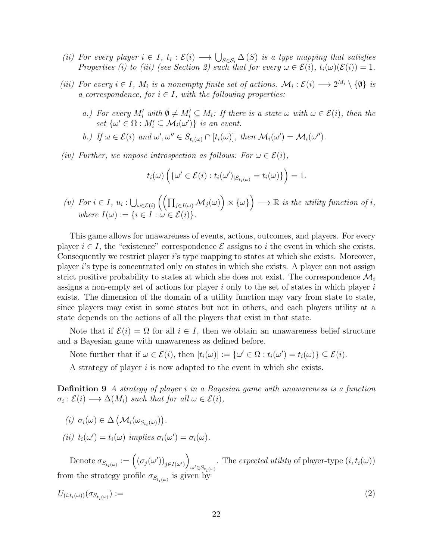- (ii) For every player  $i \in I$ ,  $t_i : \mathcal{E}(i) \longrightarrow \bigcup_{S \in \mathcal{S}_i} \Delta(S)$  is a type mapping that satisfies Properties (i) to (iii) (see Section 2) such that for every  $\omega \in \mathcal{E}(i)$ ,  $t_i(\omega)(\mathcal{E}(i)) = 1$ .
- (iii) For every  $i \in I$ ,  $M_i$  is a nonempty finite set of actions.  $\mathcal{M}_i : \mathcal{E}(i) \longrightarrow 2^{M_i} \setminus \{\emptyset\}$  is a correspondence, for  $i \in I$ , with the following properties:
	- a.) For every  $M'_i$  with  $\emptyset \neq M'_i \subseteq M_i$ : If there is a state  $\omega$  with  $\omega \in \mathcal{E}(i)$ , then the set  $\{\omega' \in \Omega : M'_i \subseteq \mathcal{M}_i(\omega')\}$  is an event.
	- b.) If  $\omega \in \mathcal{E}(i)$  and  $\omega', \omega'' \in S_{t_i(\omega)} \cap [t_i(\omega)]$ , then  $\mathcal{M}_i(\omega') = \mathcal{M}_i(\omega'')$ .
- (iv) Further, we impose introspection as follows: For  $\omega \in \mathcal{E}(i)$ ,

$$
t_i(\omega)\left(\{\omega' \in \mathcal{E}(i): t_i(\omega')_{|S_{t_i(\omega)}} = t_i(\omega)\}\right) = 1.
$$

(v) For  $i \in I$ ,  $u_i : \bigcup_{\omega \in \mathcal{E}(i)} \left( \left( \prod_{j \in I(\omega)} \mathcal{M}_j(\omega) \right) \times \{\omega\} \right) \longrightarrow \mathbb{R}$  is the utility function of i, where  $I(\omega) := \{i \in I : \omega \in \mathcal{E}(i)\}.$ 

This game allows for unawareness of events, actions, outcomes, and players. For every player  $i \in I$ , the "existence" correspondence  $\mathcal E$  assigns to i the event in which she exists. Consequently we restrict player i's type mapping to states at which she exists. Moreover, player  $i$ 's type is concentrated only on states in which she exists. A player can not assign strict positive probability to states at which she does not exist. The correspondence  $\mathcal{M}_i$ assigns a non-empty set of actions for player  $i$  only to the set of states in which player  $i$ exists. The dimension of the domain of a utility function may vary from state to state, since players may exist in some states but not in others, and each players utility at a state depends on the actions of all the players that exist in that state.

Note that if  $\mathcal{E}(i) = \Omega$  for all  $i \in I$ , then we obtain an unawareness belief structure and a Bayesian game with unawareness as defined before.

Note further that if  $\omega \in \mathcal{E}(i)$ , then  $[t_i(\omega)] := {\{\omega' \in \Omega : t_i(\omega') = t_i(\omega)\}} \subseteq \mathcal{E}(i)$ .

A strategy of player  $i$  is now adapted to the event in which she exists.

Definition 9 A strategy of player i in a Bayesian game with unawareness is a function  $\sigma_i : \mathcal{E}(i) \longrightarrow \Delta(M_i)$  such that for all  $\omega \in \mathcal{E}(i)$ ,

$$
(i) \ \sigma_i(\omega) \in \Delta \left( \mathcal{M}_i(\omega_{S_{t_i}(\omega)}) \right).
$$
  

$$
(ii) \ t_i(\omega') = t_i(\omega) \ implies \ \sigma_i(\omega') = \sigma_i(\omega).
$$

Denote  $\sigma_{S_{t_i(\omega)}} := ((\sigma_j(\omega'))_{j \in I(\omega')})$ . The expected utility of player-type  $(i, t_i(\omega))$ <br> $\omega' \in S_{t_i(\omega)}$ from the strategy profile  $\sigma_{S_{t_i(\omega)}}$  is given by

$$
U_{(i,t_i(\omega))}(\sigma_{S_{t_i(\omega)}}) := \tag{2}
$$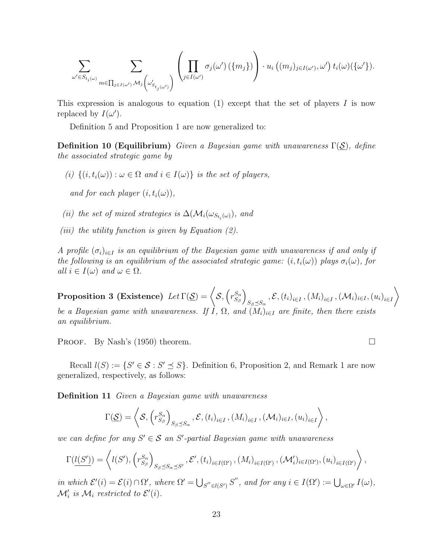$$
\sum_{\omega' \in S_{t_i(\omega)}} \sum_{m \in \prod_{j \in I(\omega')} \mathcal{M}_j \left( \omega'_{S_{t_j(\omega')}} \right)} \left( \prod_{j \in I(\omega')} \sigma_j(\omega') \left( \{m_j \} \right) \right) \cdot u_i \left( (m_j)_{j \in I(\omega')} , \omega' \right) t_i(\omega) (\{\omega'\}).
$$

This expression is analogous to equation (1) except that the set of players  $I$  is now replaced by  $I(\omega')$ .

Definition 5 and Proposition 1 are now generalized to:

**Definition 10 (Equilibrium)** Given a Bayesian game with unawareness  $\Gamma(\mathcal{S})$ , define the associated strategic game by

(i)  $\{(i, t_i(\omega)) : \omega \in \Omega \text{ and } i \in I(\omega)\}\$ is the set of players,

and for each player  $(i, t_i(\omega))$ ,

- (ii) the set of mixed strategies is  $\Delta(\mathcal{M}_i(\omega_{S_{t_i}(\omega)})$ , and
- (*iii*) the utility function is given by Equation  $(2)$ .

A profile  $(\sigma_i)_{i\in I}$  is an equilibrium of the Bayesian game with unawareness if and only if the following is an equilibrium of the associated strategic game:  $(i, t_i(\omega))$  plays  $\sigma_i(\omega)$ , for all  $i \in I(\omega)$  and  $\omega \in \Omega$ .

Proposition 3 (Existence)  $Let \Gamma(\mathcal{S}) = \langle S, (r_{S_{\mathcal{S}}}^{S_{\alpha}}) \rangle$  $S_{\beta}$  $\setminus$  $_{S_{\beta}\preceq S_{\alpha}}$  ,  $\mathcal{E},\left(t_{i}\right)_{i\in I},\left(M_{i}\right)_{i\in I},\left(\mathcal{M}_{i}\right)_{i\in I},\left(u_{i}\right)_{i\in I}$  $\setminus$ be a Bayesian game with unawareness. If  $I$ ,  $\Omega$ , and  $(M_i)_{i\in I}$  are finite, then there exists an equilibrium.

PROOF. By Nash's (1950) theorem.

Recall  $l(S) := \{S' \in S : S' \preceq S\}$ . Definition 6, Proposition 2, and Remark 1 are now generalized, respectively, as follows:

**Definition 11** Given a Bayesian game with unawareness

$$
\Gamma(\underline{\mathcal{S}})=\left\langle \mathcal{S},\left(r_{S_{\beta}}^{S_{\alpha}}\right)_{S_{\beta}\preceq S_{\alpha}},\mathcal{E},\left(t_{i}\right)_{i\in I},\left(M_{i}\right)_{i\in I},\left(\mathcal{M}_{i}\right)_{i\in I},\left(u_{i}\right)_{i\in I}\right\rangle,
$$

we can define for any  $S' \in \mathcal{S}$  an  $S'$ -partial Bayesian game with unawareness

$$
\Gamma(\underline{l(S')}) = \left\langle l(S'), \left(r_{S_{\beta}}^{S_{\alpha}}\right)_{S_{\beta} \preceq S_{\alpha} \preceq S'}, \mathcal{E}', (t_i)_{i \in I(\Omega')}, (M_i)_{i \in I(\Omega')}, (\mathcal{M}'_i)_{i \in I(\Omega')}, (u_i)_{i \in I(\Omega')}\right\rangle,
$$

in which  $\mathcal{E}'(i) = \mathcal{E}(i) \cap \Omega'$ , where  $\Omega' = \bigcup_{S'' \in l(S')} S''$ , and for any  $i \in I(\Omega') := \bigcup_{\omega \in \Omega'} I(\omega)$ ,  $\mathcal{M}'_i$  is  $\mathcal{M}_i$  restricted to  $\mathcal{E}'(i)$ .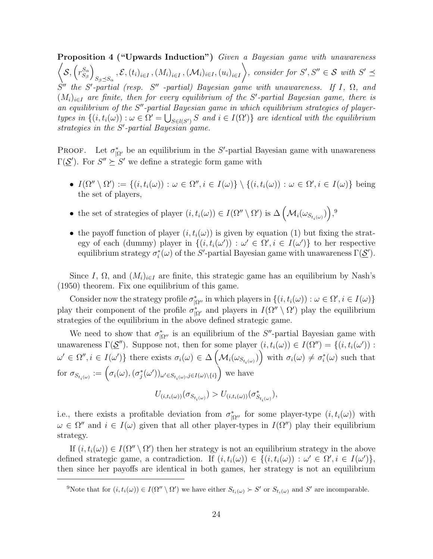Proposition 4 ("Upwards Induction") Given a Bayesian game with unawareness  $\bigg)$  $\mathcal{S}, \left(r_{S_o}^{S_\alpha}\right)$  $S_{\beta}$  $\setminus$  $_{S_{\beta}\preceq S_{\alpha}}$  ,  $\mathcal{E},\left(t_{i}\right)_{i\in I},\left(M_{i}\right)_{i\in I},\left(\mathcal{M}_{i}\right)_{i\in I},\left(u_{i}\right)_{i\in I}$  $\setminus$ , consider for  $S', S'' \in \mathcal{S}$  with  $S' \preceq$  $S''$  the S'-partial (resp. S'' -partial) Bayesian game with unawareness. If I,  $\Omega$ , and  $(M_i)_{i\in I}$  are finite, then for every equilibrium of the S'-partial Bayesian game, there is an equilibrium of the  $S''$ -partial Bayesian game in which equilibrium strategies of playertypes in  $\{(i, t_i(\omega)) : \omega \in \Omega' = \bigcup_{S \in l(S')} S \text{ and } i \in I(\Omega')\}$  are identical with the equilibrium strategies in the  $S'$ -partial Bayesian game.

**PROOF.** Let  $\sigma_{\vert \Omega'}^*$  be an equilibrium in the S'-partial Bayesian game with unawareness  $\Gamma(\underline{\mathcal{S}}')$ . For  $S'' \succeq S'$  we define a strategic form game with

- $I(\Omega'' \setminus \Omega') := \{(i, t_i(\omega)) : \omega \in \Omega'', i \in I(\omega)\} \setminus \{(i, t_i(\omega)) : \omega \in \Omega', i \in I(\omega)\}$  being the set of players,
- the set of strategies of player  $(i, t_i(\omega)) \in I(\Omega'' \setminus \Omega')$  is  $\Delta \left(\mathcal{M}_i(\omega_{S_{t_i(\omega)}})\right)$ ,<sup>9</sup>
- the payoff function of player  $(i, t_i(\omega))$  is given by equation (1) but fixing the strategy of each (dummy) player in  $\{(i, t_i(\omega')) : \omega' \in \Omega', i \in I(\omega')\}$  to her respective equilibrium strategy  $\sigma_i^*(\omega)$  of the S'-partial Bayesian game with unawareness  $\Gamma(\underline{\mathcal{S}}')$ .

Since I,  $\Omega$ , and  $(M_i)_{i\in I}$  are finite, this strategic game has an equilibrium by Nash's (1950) theorem. Fix one equilibrium of this game.

Consider now the strategy profile  $\sigma_{\vert \Omega''}^*$  in which players in  $\{(i, t_i(\omega)) : \omega \in \Omega', i \in I(\omega)\}\$ play their component of the profile  $\sigma_{|\Omega|}^*$  and players in  $I(\Omega'' \setminus \Omega')$  play the equilibrium strategies of the equilibrium in the above defined strategic game.

We need to show that  $\sigma_{\vert \Omega''}^*$  is an equilibrium of the S''-partial Bayesian game with unawareness  $\Gamma(\underline{\mathcal{S}}'')$ . Suppose not, then for some player  $(i, t_i(\omega)) \in I(\Omega'') = \{(i, t_i(\omega')) :$  $\omega' \in \Omega'', i \in I(\omega')\}$  there exists  $\sigma_i(\omega) \in \Delta\left(\mathcal{M}_i(\omega_{S_{t_i(\omega)}})\right)$  with  $\sigma_i(\omega) \neq \sigma_i^*(\omega)$  such that for  $\sigma_{S_{t_i(\omega)}} := \left(\sigma_i(\omega), (\sigma_j^*(\omega'))_{\omega' \in S_{t_i(\omega)}, j \in I(\omega) \setminus \{i\}}\right)$  we have

$$
U_{(i,t_i(\omega))}(\sigma_{S_{t_i(\omega)}}) > U_{(i,t_i(\omega))}(\sigma_{S_{t_i(\omega)}}^*),
$$

i.e., there exists a profitable deviation from  $\sigma_{\vert \Omega''}^*$  for some player-type  $(i, t_i(\omega))$  with  $\omega \in \Omega''$  and  $i \in I(\omega)$  given that all other player-types in  $I(\Omega'')$  play their equilibrium strategy.

If  $(i, t_i(\omega)) \in I(\Omega'' \setminus \Omega')$  then her strategy is not an equilibrium strategy in the above defined strategic game, a contradiction. If  $(i, t_i(\omega)) \in \{(i, t_i(\omega)) : \omega' \in \Omega', i \in I(\omega')\},\$ then since her payoffs are identical in both games, her strategy is not an equilibrium

<sup>&</sup>lt;sup>9</sup>Note that for  $(i, t_i(\omega)) \in I(\Omega'' \setminus \Omega')$  we have either  $S_{t_i(\omega)} \succ S'$  or  $S_{t_i(\omega)}$  and S' are incomparable.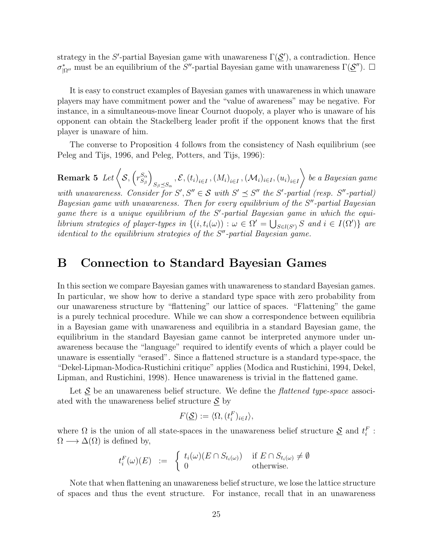strategy in the S'-partial Bayesian game with unawareness  $\Gamma(\underline{\mathcal{S}}')$ , a contradiction. Hence  $\sigma_{|\Omega''|}^*$  must be an equilibrium of the S''-partial Bayesian game with unawareness  $\Gamma(\underline{\mathcal{S}}'')$ .  $\square$ 

It is easy to construct examples of Bayesian games with unawareness in which unaware players may have commitment power and the "value of awareness" may be negative. For instance, in a simultaneous-move linear Cournot duopoly, a player who is unaware of his opponent can obtain the Stackelberg leader profit if the opponent knows that the first player is unaware of him.

The converse to Proposition 4 follows from the consistency of Nash equilibrium (see Peleg and Tijs, 1996, and Peleg, Potters, and Tijs, 1996):

 $\textbf{Remark 5 \:} Let $\big\langle \mathcal{S}, \big(r^{S_{\alpha}}_{S_{\beta}}\big)$.}$  $S_{\beta}$  $\setminus$  $_{S_{\beta}\preceq S_{\alpha}}$  ,  $\mathcal{E},\left(t_{i}\right)_{i\in I},\left(M_{i}\right)_{i\in I},\left(\mathcal{M}_{i}\right)_{i\in I},\left(u_{i}\right)_{i\in I}$  $\setminus$ be a Bayesian game with unawareness. Consider for  $S', S'' \in \mathcal{S}$  with  $S' \preceq S''$  the  $S'$ -partial (resp.  $S''$ -partial) Bayesian game with unawareness. Then for every equilibrium of the  $S''$ -partial Bayesian game there is a unique equilibrium of the S'-partial Bayesian game in which the equilibrium strategies of player-types in  $\{(i, t_i(\omega)) : \omega \in \Omega' = \bigcup_{S \in l(S')} S \text{ and } i \in I(\Omega')\}$  are  $identical$  to the equilibrium strategies of the  $S<sup>n</sup>$ -partial Bayesian game.

## B Connection to Standard Bayesian Games

In this section we compare Bayesian games with unawareness to standard Bayesian games. In particular, we show how to derive a standard type space with zero probability from our unawareness structure by "flattening" our lattice of spaces. "Flattening" the game is a purely technical procedure. While we can show a correspondence between equilibria in a Bayesian game with unawareness and equilibria in a standard Bayesian game, the equilibrium in the standard Bayesian game cannot be interpreted anymore under unawareness because the "language" required to identify events of which a player could be unaware is essentially "erased". Since a flattened structure is a standard type-space, the "Dekel-Lipman-Modica-Rustichini critique" applies (Modica and Rustichini, 1994, Dekel, Lipman, and Rustichini, 1998). Hence unawareness is trivial in the flattened game.

Let  $\mathcal S$  be an unawareness belief structure. We define the *flattened type-space* associated with the unawareness belief structure  $\underline{\mathcal{S}}$  by

$$
F(\underline{\mathcal{S}}) := \langle \Omega, (t_i^F)_{i \in I} \rangle,
$$

where  $\Omega$  is the union of all state-spaces in the unawareness belief structure  $\underline{\mathcal{S}}$  and  $t_i^F$ :  $\Omega \longrightarrow \Delta(\Omega)$  is defined by,

$$
t_i^F(\omega)(E) \quad := \quad \begin{cases} \ t_i(\omega)(E \cap S_{t_i(\omega)}) & \text{if } E \cap S_{t_i(\omega)} \neq \emptyset \\ 0 & \text{otherwise.} \end{cases}
$$

Note that when flattening an unawareness belief structure, we lose the lattice structure of spaces and thus the event structure. For instance, recall that in an unawareness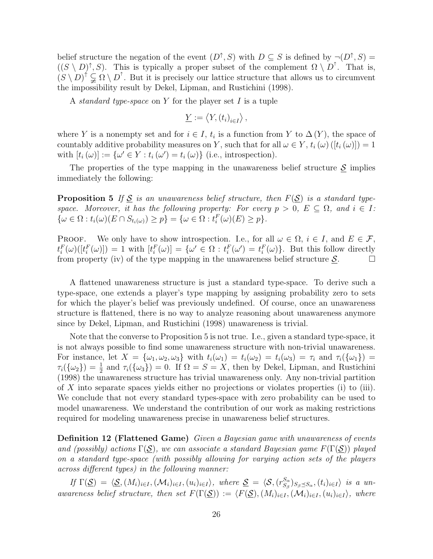belief structure the negation of the event  $(D^{\uparrow}, S)$  with  $D \subseteq S$  is defined by  $\neg(D^{\uparrow}, S) =$  $((S \setminus D)^{\uparrow}, S)$ . This is typically a proper subset of the complement  $\Omega \setminus D^{\uparrow}$ . That is,  $(S \setminus D)^{\dagger} \subsetneq \Omega \setminus D^{\dagger}$ . But it is precisely our lattice structure that allows us to circumvent the impossibility result by Dekel, Lipman, and Rustichini (1998).

A *standard type-space* on Y for the player set I is a tuple

$$
\underline{Y} := \langle Y, (t_i)_{i \in I} \rangle \,,
$$

where Y is a nonempty set and for  $i \in I$ ,  $t_i$  is a function from Y to  $\Delta(Y)$ , the space of countably additive probability measures on Y, such that for all  $\omega \in Y$ ,  $t_i(\omega) ([t_i(\omega)]) = 1$ with  $[t_i(\omega)] := {\omega' \in Y : t_i(\omega') = t_i(\omega)}$  (i.e., introspection).

The properties of the type mapping in the unawareness belief structure  $S$  implies immediately the following:

**Proposition 5** If  $\underline{S}$  is an unawareness belief structure, then  $F(\underline{S})$  is a standard typespace. Moreover, it has the following property: For every  $p > 0$ ,  $E \subseteq \Omega$ , and  $i \in I$ :  $\{\omega \in \Omega : t_i(\omega)(E \cap S_{t_i(\omega)}) \geq p\} = \{\omega \in \Omega : t_i^F(\omega)(E) \geq p\}.$ 

**PROOF.** We only have to show introspection. I.e., for all  $\omega \in \Omega$ ,  $i \in I$ , and  $E \in \mathcal{F}$ ,  $t_i^F(\omega)([t_i^F(\omega)]) = 1$  with  $[t_i^F(\omega)] = {\omega' \in \Omega : t_i^F(\omega') = t_i^F(\omega)}}$ . But this follow directly from property (iv) of the type mapping in the unawareness belief structure  $\underline{S}$ .

A flattened unawareness structure is just a standard type-space. To derive such a type-space, one extends a player's type mapping by assigning probability zero to sets for which the player's belief was previously undefined. Of course, once an unawareness structure is flattened, there is no way to analyze reasoning about unawareness anymore since by Dekel, Lipman, and Rustichini (1998) unawareness is trivial.

Note that the converse to Proposition 5 is not true. I.e., given a standard type-space, it is not always possible to find some unawareness structure with non-trivial unawareness. For instance, let  $X = {\omega_1, \omega_2, \omega_3}$  with  $t_i(\omega_1) = t_i(\omega_2) = t_i(\omega_3) = \tau_i$  and  $\tau_i({\omega_1}) =$  $\tau_i(\{\omega_2\}) = \frac{1}{2}$  and  $\tau_i(\{\omega_3\}) = 0$ . If  $\Omega = S = X$ , then by Dekel, Lipman, and Rustichini (1998) the unawareness structure has trivial unawareness only. Any non-trivial partition of X into separate spaces yields either no projections or violates properties (i) to (iii). We conclude that not every standard types-space with zero probability can be used to model unawareness. We understand the contribution of our work as making restrictions required for modeling unawareness precise in unawareness belief structures.

Definition 12 (Flattened Game) Given a Bayesian game with unawareness of events and (possibly) actions  $\Gamma(\mathcal{S})$ , we can associate a standard Bayesian game  $F(\Gamma(\mathcal{S}))$  played on a standard type-space (with possibly allowing for varying action sets of the players across different types) in the following manner:

If  $\Gamma(\underline{\mathcal{S}}) = \langle \underline{\mathcal{S}},(M_i)_{i\in I},(\mathcal{M}_i)_{i\in I},(u_i)_{i\in I} \rangle$ , where  $\underline{\mathcal{S}} = \langle \mathcal{S},(r_{S_{\alpha}}^{S_{\alpha}})$  ${}_{S_{\beta}}^{S_{\alpha}}\rangle_{S_{\beta}\preceq S_{\alpha}}, (t_i)_{i\in I}\rangle$  is a unawareness belief structure, then set  $F(\Gamma(\mathcal{S})) := \langle F(\mathcal{S}), (M_i)_{i\in I},(\mathcal{M}_i)_{i\in I},(u_i)_{i\in I} \rangle$ , where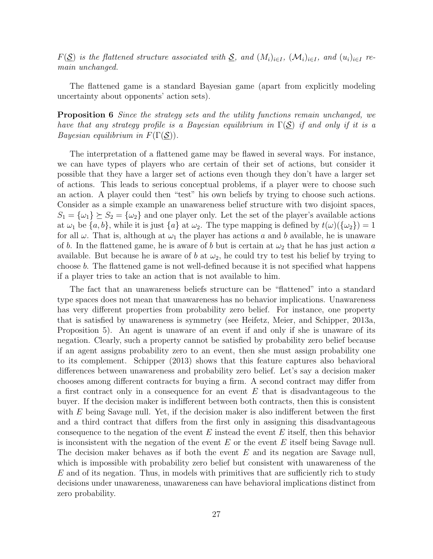$F(\mathcal{S})$  is the flattened structure associated with  $\mathcal{S}$ , and  $(M_i)_{i\in I}$ ,  $(\mathcal{M}_i)_{i\in I}$ , and  $(u_i)_{i\in I}$  remain unchanged.

The flattened game is a standard Bayesian game (apart from explicitly modeling uncertainty about opponents' action sets).

Proposition 6 Since the strategy sets and the utility functions remain unchanged, we have that any strategy profile is a Bayesian equilibrium in  $\Gamma(S)$  if and only if it is a *Bayesian equilibrium in*  $F(\Gamma(\mathcal{S}))$ .

The interpretation of a flattened game may be flawed in several ways. For instance, we can have types of players who are certain of their set of actions, but consider it possible that they have a larger set of actions even though they don't have a larger set of actions. This leads to serious conceptual problems, if a player were to choose such an action. A player could then "test" his own beliefs by trying to choose such actions. Consider as a simple example an unawareness belief structure with two disjoint spaces,  $S_1 = {\omega_1} \succeq S_2 = {\omega_2}$  and one player only. Let the set of the player's available actions at  $\omega_1$  be  $\{a, b\}$ , while it is just  $\{a\}$  at  $\omega_2$ . The type mapping is defined by  $t(\omega)(\{\omega_2\}) = 1$ for all  $\omega$ . That is, although at  $\omega_1$  the player has actions a and b available, he is unaware of b. In the flattened game, he is aware of b but is certain at  $\omega_2$  that he has just action a available. But because he is aware of b at  $\omega_2$ , he could try to test his belief by trying to choose b. The flattened game is not well-defined because it is not specified what happens if a player tries to take an action that is not available to him.

The fact that an unawareness beliefs structure can be "flattened" into a standard type spaces does not mean that unawareness has no behavior implications. Unawareness has very different properties from probability zero belief. For instance, one property that is satisfied by unawareness is symmetry (see Heifetz, Meier, and Schipper, 2013a, Proposition 5). An agent is unaware of an event if and only if she is unaware of its negation. Clearly, such a property cannot be satisfied by probability zero belief because if an agent assigns probability zero to an event, then she must assign probability one to its complement. Schipper (2013) shows that this feature captures also behavioral differences between unawareness and probability zero belief. Let's say a decision maker chooses among different contracts for buying a firm. A second contract may differ from a first contract only in a consequence for an event  $E$  that is disadvantageous to the buyer. If the decision maker is indifferent between both contracts, then this is consistent with  $E$  being Savage null. Yet, if the decision maker is also indifferent between the first and a third contract that differs from the first only in assigning this disadvantageous consequence to the negation of the event  $E$  instead the event  $E$  itself, then this behavior is inconsistent with the negation of the event  $E$  or the event  $E$  itself being Savage null. The decision maker behaves as if both the event  $E$  and its negation are Savage null, which is impossible with probability zero belief but consistent with unawareness of the  $E$  and of its negation. Thus, in models with primitives that are sufficiently rich to study decisions under unawareness, unawareness can have behavioral implications distinct from zero probability.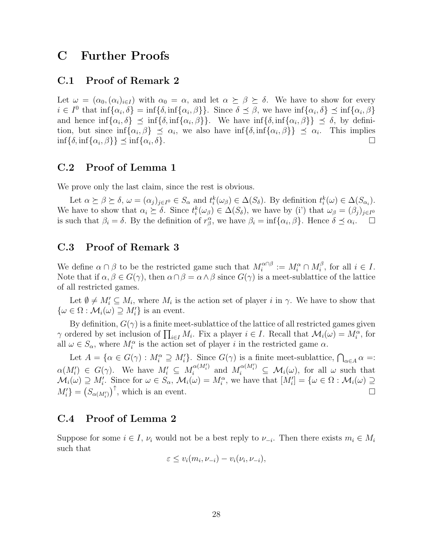## C Further Proofs

### C.1 Proof of Remark 2

Let  $\omega = (\alpha_0, (\alpha_i)_{i \in I})$  with  $\alpha_0 = \alpha$ , and let  $\alpha \succeq \beta \succeq \delta$ . We have to show for every  $i \in I^0$  that  $\inf{\alpha_i, \delta} = \inf{\delta, \inf{\alpha_i, \beta}}$ . Since  $\delta \preceq \beta$ , we have  $\inf{\alpha_i, \delta} \preceq \inf{\alpha_i, \beta}$ and hence  $\inf{\alpha_i, \delta} \leq \inf{\delta}$ ,  $\inf{\alpha_i, \beta}$ . We have  $\inf{\delta}$ ,  $\inf{\alpha_i, \beta} \leq \delta$ , by definition, but since  $\inf{\alpha_i, \beta} \leq \alpha_i$ , we also have  $\inf{\delta, \inf{\alpha_i, \beta}} \geq \alpha_i$ . This implies  $\inf\{\delta, \inf\{\alpha_i, \beta\}\}\preceq \inf\{\alpha_i\}$  $,\delta$ }.

### C.2 Proof of Lemma 1

We prove only the last claim, since the rest is obvious.

Let  $\alpha \succeq \beta \succeq \delta$ ,  $\omega = (\alpha_j)_{j \in I^0} \in S_\alpha$  and  $t_i^k(\omega_\beta) \in \Delta(S_\delta)$ . By definition  $t_i^k(\omega) \in \Delta(S_{\alpha_i})$ . We have to show that  $\alpha_i \succeq \delta$ . Since  $t_i^k(\omega_\beta) \in \Delta(S_\delta)$ , we have by (i') that  $\omega_\beta = (\beta_j)_{j \in I^0}$ is such that  $\beta_i = \delta$ . By the definition of  $r^{\alpha}_{\beta}$ , we have  $\beta_i = \inf{\alpha_i, \beta}$ . Hence  $\delta \preceq \alpha_i$ .

### C.3 Proof of Remark 3

We define  $\alpha \cap \beta$  to be the restricted game such that  $M_i^{\alpha \cap \beta}$  $\widehat{h}_i^{\alpha\cap\beta} \,:=\, M_i^\alpha \cap M_i^\beta$  $i^{\beta}$ , for all  $i \in I$ . Note that if  $\alpha, \beta \in G(\gamma)$ , then  $\alpha \cap \beta = \alpha \wedge \beta$  since  $G(\gamma)$  is a meet-sublattice of the lattice of all restricted games.

Let  $\emptyset \neq M'_i \subseteq M_i$ , where  $M_i$  is the action set of player i in  $\gamma$ . We have to show that  $\{\omega \in \Omega : \mathcal{M}_i(\omega) \supseteq M'_i\}$  is an event.

By definition,  $G(\gamma)$  is a finite meet-sublattice of the lattice of all restricted games given  $\gamma$  ordered by set inclusion of  $\prod_{i\in I} M_i$ . Fix a player  $i \in I$ . Recall that  $\mathcal{M}_i(\omega) = M_i^{\alpha}$ , for all  $\omega \in S_{\alpha}$ , where  $M_i^{\alpha}$  is the action set of player i in the restricted game  $\alpha$ .

Let  $A = \{ \alpha \in G(\gamma) : M_i^{\alpha} \supseteq M_i' \}$ . Since  $G(\gamma)$  is a finite meet-sublattice,  $\bigcap_{\alpha \in A} \alpha =:$  $\alpha(M'_i) \in G(\gamma)$ . We have  $M'_i \subseteq M_i^{\alpha(M'_i)}$  $\alpha^{(M'_i)}_{i}$  and  $M_i^{\alpha(M'_i)} \subseteq \mathcal{M}_i(\omega)$ , for all  $\omega$  such that  $\mathcal{M}_i(\omega) \supseteq M'_i$ . Since for  $\omega \in S_\alpha$ ,  $\mathcal{M}_i(\omega) = M_i^\alpha$ , we have that  $[M'_i] = {\omega \in \Omega : \mathcal{M}_i(\omega) \supseteq \Omega'}$  $M_i'$ } =  $(S_{\alpha(M_i')})^{\uparrow}$ , which is an event.

### C.4 Proof of Lemma 2

Suppose for some  $i \in I$ ,  $\nu_i$  would not be a best reply to  $\nu_{-i}$ . Then there exists  $m_i \in M_i$ such that

$$
\varepsilon \le v_i(m_i, \nu_{-i}) - v_i(\nu_i, \nu_{-i}),
$$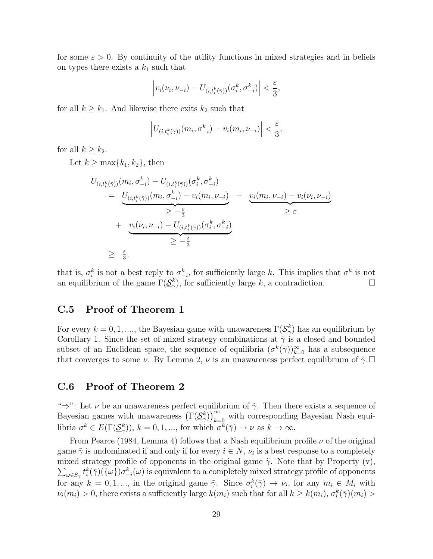for some  $\varepsilon > 0$ . By continuity of the utility functions in mixed strategies and in beliefs on types there exists a  $k_1$  such that

$$
\left| v_i(\nu_i, \nu_{-i}) - U_{(i,t^k_i(\bar{\gamma}))}(\sigma^k_i, \sigma^k_{-i}) \right| < \frac{\varepsilon}{3},
$$

for all  $k \geq k_1$ . And likewise there exits  $k_2$  such that

$$
\left|U_{(i,t_i^k(\bar{\gamma}))}(m_i,\sigma_{-i}^k)-v_i(m_i,\nu_{-i})\right|<\frac{\varepsilon}{3},
$$

for all  $k \geq k_2$ .

Let  $k \geq \max\{k_1, k_2\}$ , then

$$
U_{(i,t_i^k(\bar{\gamma}))}(m_i, \sigma_{-i}^k) - U_{(i,t_i^k(\bar{\gamma}))}(\sigma_i^k, \sigma_{-i}^k)
$$
  
\n
$$
= U_{(i,t_i^k(\bar{\gamma}))}(m_i, \sigma_{-i}^k) - v_i(m_i, \nu_{-i}) + U_i(m_i, \nu_{-i}) - v_i(\nu_i, \nu_{-i})
$$
  
\n
$$
\geq -\frac{\varepsilon}{3}
$$
  
\n
$$
+ U_i(\nu_i, \nu_{-i}) - U_{(i,t_i^k(\bar{\gamma}))}(\sigma_i^k, \sigma_{-i}^k)
$$
  
\n
$$
\geq -\frac{\varepsilon}{3}
$$
  
\n
$$
\geq \frac{\varepsilon}{3},
$$

that is,  $\sigma_i^k$  is not a best reply to  $\sigma_{-i}^k$ , for sufficiently large k. This implies that  $\sigma^k$  is not an equilibrium of the game  $\Gamma(\underline{\mathcal{S}}_{\gamma}^k)$ , for sufficiently large k, a contradiction.

### C.5 Proof of Theorem 1

For every  $k = 0, 1, ...,$  the Bayesian game with unawareness  $\Gamma(\underline{\mathcal{S}}_{\gamma}^k)$  has an equilibrium by Corollary 1. Since the set of mixed strategy combinations at  $\bar{\gamma}$  is a closed and bounded subset of an Euclidean space, the sequence of equilibria  $(\sigma^k(\bar{\gamma}))_{k=0}^{\infty}$  has a subsequence that converges to some  $\nu$ . By Lemma 2,  $\nu$  is an unawareness perfect equilibrium of  $\tilde{\gamma}$ .

### C.6 Proof of Theorem 2

" $\Rightarrow$ ": Let  $\nu$  be an unawareness perfect equilibrium of  $\tilde{\gamma}$ . Then there exists a sequence of Bayesian games with unawareness  $(\Gamma(\underline{\mathcal{S}}_N^k))_{k=0}^{\infty}$  with corresponding Bayesian Nash equilibria  $\sigma^k \in E(\Gamma(\underline{\mathcal{S}}_{\gamma}^k)), k = 0, 1, ...,$  for which  $\sigma^k(\overline{\gamma}) \to \nu$  as  $k \to \infty$ .

From Pearce (1984, Lemma 4) follows that a Nash equilibrium profile  $\nu$  of the original game  $\tilde{\gamma}$  is undominated if and only if for every  $i \in N$ ,  $\nu_i$  is a best response to a completely mixed strategy profile of opponents in the original game  $\tilde{\gamma}$ . Note that by Property (v),  $\sum_{\omega \in S_{\gamma}} t_i^{k}(\bar{\gamma})(\{\omega\}) \sigma_{-i}^{k}(\omega)$  is equivalent to a completely mixed strategy profile of opponents for any  $k = 0, 1, ...,$  in the original game  $\tilde{\gamma}$ . Since  $\sigma_i^k(\bar{\gamma}) \to \nu_i$ , for any  $m_i \in M_i$  with  $\nu_i(m_i) > 0$ , there exists a sufficiently large  $k(m_i)$  such that for all  $k \geq k(m_i)$ ,  $\sigma_i^k(\bar{\gamma})(m_i) >$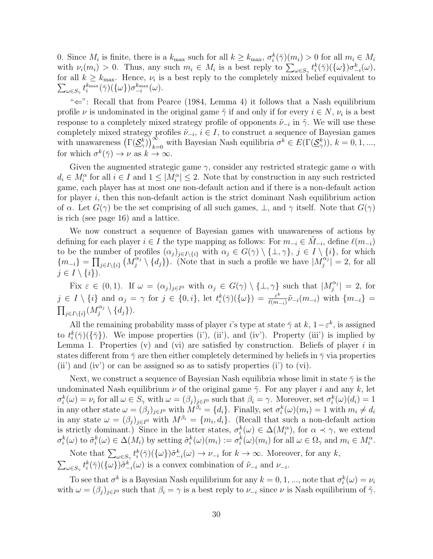0. Since  $M_i$  is finite, there is a  $k_{\text{max}}$  such for all  $k \geq k_{\text{max}}$ ,  $\sigma_i^k(\bar{\gamma})(m_i) > 0$  for all  $m_i \in M_i$ with  $\nu_i(m_i) > 0$ . Thus, any such  $m_i \in M_i$  is a best reply to  $\sum_{\omega \in S_{\gamma}} t_i^k(\bar{\gamma}) (\{\omega\}) \sigma_{-i}^k(\omega)$ , for all  $k \geq k_{\text{max}}$ . Hence,  $\nu_i$  is a best reply to the completely mixed belief equivalent to  $\sum_{\omega \in S_{\gamma}} t_i^{k_{\max}}(\bar{\gamma}) (\{\omega\}) \sigma_{-i}^{k_{\max}}(\omega).$ 

"⇐": Recall that from Pearce (1984, Lemma 4) it follows that a Nash equilibrium profile  $\nu$  is undominated in the original game  $\tilde{\gamma}$  if and only if for every  $i \in N$ ,  $\nu_i$  is a best response to a completely mixed strategy profile of opponents  $\tilde{\nu}_{-i}$  in  $\tilde{\gamma}$ . We will use these completely mixed strategy profiles  $\tilde{\nu}_{-i}$ ,  $i \in I$ , to construct a sequence of Bayesian games with unawareness  $(\Gamma(\underline{\mathcal{S}}_{\gamma}^k))_{k=0}^{\infty}$  with Bayesian Nash equilibria  $\sigma^k \in E(\Gamma(\underline{\mathcal{S}}_{\gamma}^k))$ ,  $k=0,1,...,$ for which  $\sigma^k(\bar{\gamma}) \to \nu$  as  $k \to \infty$ .

Given the augmented strategic game  $\gamma$ , consider any restricted strategic game  $\alpha$  with  $d_i \in M_i^{\alpha}$  for all  $i \in I$  and  $1 \leq |M_i^{\alpha}| \leq 2$ . Note that by construction in any such restricted game, each player has at most one non-default action and if there is a non-default action for player  $i$ , then this non-default action is the strict dominant Nash equilibrium action of  $\alpha$ . Let  $G(\gamma)$  be the set comprising of all such games,  $\perp$ , and  $\gamma$  itself. Note that  $G(\gamma)$ is rich (see page 16) and a lattice.

We now construct a sequence of Bayesian games with unawareness of actions by defining for each player  $i \in I$  the type mapping as follows: For  $m_{-i} \in \tilde{M}_{-i}$ , define  $\ell(m_{-i})$ to be the number of profiles  $(\alpha_j)_{j\in I\setminus\{i\}}$  with  $\alpha_j \in G(\gamma) \setminus \{\perp, \gamma\}, j \in I \setminus \{i\}$ , for which  $\{m_{-i}\}=\prod_{j\in I\setminus\{i\}}\big(M_j^{\alpha_j}$  $\{\alpha_j \setminus \{d_j\}\}\)$ . (Note that in such a profile we have  $|M_j^{\alpha_j}\rangle$  $\left|\frac{a_j}{j}\right| = 2$ , for all  $j \in I \setminus \{i\}$ .

Fix  $\varepsilon \in (0,1)$ . If  $\omega = (\alpha_j)_{j \in I^0}$  with  $\alpha_j \in G(\gamma) \setminus \{\perp, \gamma\}$  such that  $|M_j^{\alpha_j}$  $\left| \frac{\alpha_j}{j} \right| = 2$ , for  $j \in I \setminus \{i\}$  and  $\alpha_j = \gamma$  for  $j \in \{0, i\}$ , let  $t_i^k(\bar{\gamma})(\{\omega\}) = \frac{\varepsilon^k}{\ell(m)}$  $\frac{\varepsilon^\kappa}{\ell(m_{-i})}\tilde\nu_{-i}(m_{-i})$  with  $\{m_{-i}\}$  =  $\prod_{j\in I\setminus\{i\}}(M_j^{\alpha_j})$  $\{d_j\}\$ .

All the remaining probability mass of player i's type at state  $\bar{\gamma}$  at k,  $1-\varepsilon^k$ , is assigned to  $t_i^k(\bar{\gamma})(\{\bar{\gamma}\})$ . We impose properties (i'), (ii'), and (iv'). Property (iii') is implied by Lemma 1. Properties  $(v)$  and  $(vi)$  are satisfied by construction. Beliefs of player i in states different from  $\bar{\gamma}$  are then either completely determined by beliefs in  $\bar{\gamma}$  via properties (ii) and (iv) or can be assigned so as to satisfy properties (i) to (vi).

Next, we construct a sequence of Bayesian Nash equilibria whose limit in state  $\bar{\gamma}$  is the undominated Nash equilibrium  $\nu$  of the original game  $\tilde{\gamma}$ . For any player i and any k, let  $\sigma_i^k(\omega) = \nu_i$  for all  $\omega \in S_\gamma$  with  $\omega = (\beta_i)_{i \in I^0}$  such that  $\beta_i = \gamma$ . Moreover, set  $\sigma_i^k(\omega)(d_i) = 1$ in any other state  $\omega = (\beta_j)_{j \in I^0}$  with  $M^{\beta_i} = \{d_i\}$ . Finally, set  $\sigma_i^k(\omega)(m_i) = 1$  with  $m_i \neq d_i$ in any state  $\omega = (\beta_i)_{i \in I^0}$  with  $M^{\beta_i} = \{m_i, d_i\}$ . (Recall that such a non-default action is strictly dominant.) Since in the latter states,  $\sigma_i^k(\omega) \in \Delta(M_i^{\alpha})$ , for  $\alpha \prec \gamma$ , we extend  $\sigma_i^k(\omega)$  to  $\tilde{\sigma}_i^k(\omega) \in \Delta(M_i)$  by setting  $\tilde{\sigma}_i^k(\omega)(m_i) := \sigma_i^k(\omega)(m_i)$  for all  $\omega \in \Omega_\gamma$  and  $m_i \in M_i^\alpha$ .

Note that  $\sum_{\omega \in S_{\gamma}} t_i^{k}(\bar{\gamma})(\{\omega\}) \tilde{\sigma}_{-i}^{k}(\omega) \to \nu_{-i}$  for  $k \to \infty$ . Moreover, for any k,  $\sum_{\omega \in S_{\gamma}} t_i^{k}(\bar{\gamma}) (\{\omega\}) \tilde{\sigma}_{-i}^{k}(\omega)$  is a convex combination of  $\tilde{\nu}_{-i}$  and  $\nu_{-i}$ .

To see that  $\sigma^k$  is a Bayesian Nash equilibrium for any  $k = 0, 1, ...,$  note that  $\sigma^k_i(\omega) = \nu_i$ with  $\omega = (\beta_j)_{j \in I^0}$  such that  $\beta_i = \gamma$  is a best reply to  $\nu_{-i}$  since  $\nu$  is Nash equilibrium of  $\tilde{\gamma}$ .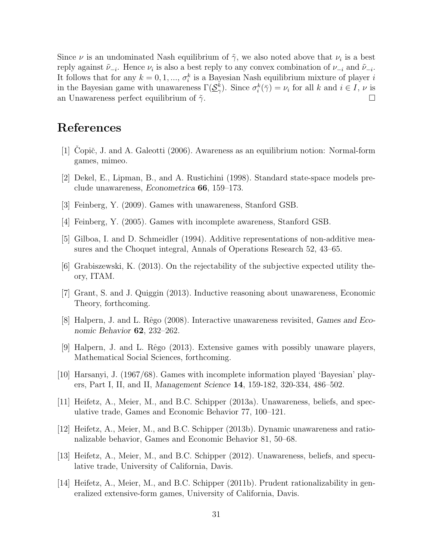Since  $\nu$  is an undominated Nash equilibrium of  $\tilde{\gamma}$ , we also noted above that  $\nu_i$  is a best reply against  $\tilde{\nu}_{-i}$ . Hence  $\nu_i$  is also a best reply to any convex combination of  $\nu_{-i}$  and  $\tilde{\nu}_{-i}$ . It follows that for any  $k = 0, 1, ..., \sigma_i^k$  is a Bayesian Nash equilibrium mixture of player i in the Bayesian game with unawareness  $\Gamma(\underline{\mathcal{S}}_{\gamma}^k)$ . Since  $\sigma_i^k(\bar{\gamma}) = \nu_i$  for all k and  $i \in I$ ,  $\nu$  is an Unawareness perfect equilibrium of  $\tilde{\gamma}$ .

## References

- [1] Copič, J. and A. Galeotti (2006). Awareness as an equilibrium notion: Normal-form games, mimeo.
- [2] Dekel, E., Lipman, B., and A. Rustichini (1998). Standard state-space models preclude unawareness, Econometrica 66, 159–173.
- [3] Feinberg, Y. (2009). Games with unawareness, Stanford GSB.
- [4] Feinberg, Y. (2005). Games with incomplete awareness, Stanford GSB.
- [5] Gilboa, I. and D. Schmeidler (1994). Additive representations of non-additive measures and the Choquet integral, Annals of Operations Research 52, 43–65.
- [6] Grabiszewski, K. (2013). On the rejectability of the subjective expected utility theory, ITAM.
- [7] Grant, S. and J. Quiggin (2013). Inductive reasoning about unawareness, Economic Theory, forthcoming.
- [8] Halpern, J. and L. Rˆego (2008). Interactive unawareness revisited, Games and Economic Behavior 62, 232–262.
- [9] Halpern, J. and L. Rˆego (2013). Extensive games with possibly unaware players, Mathematical Social Sciences, forthcoming.
- [10] Harsanyi, J. (1967/68). Games with incomplete information played 'Bayesian' players, Part I, II, and II, Management Science 14, 159-182, 320-334, 486–502.
- [11] Heifetz, A., Meier, M., and B.C. Schipper (2013a). Unawareness, beliefs, and speculative trade, Games and Economic Behavior 77, 100–121.
- [12] Heifetz, A., Meier, M., and B.C. Schipper (2013b). Dynamic unawareness and rationalizable behavior, Games and Economic Behavior 81, 50–68.
- [13] Heifetz, A., Meier, M., and B.C. Schipper (2012). Unawareness, beliefs, and speculative trade, University of California, Davis.
- [14] Heifetz, A., Meier, M., and B.C. Schipper (2011b). Prudent rationalizability in generalized extensive-form games, University of California, Davis.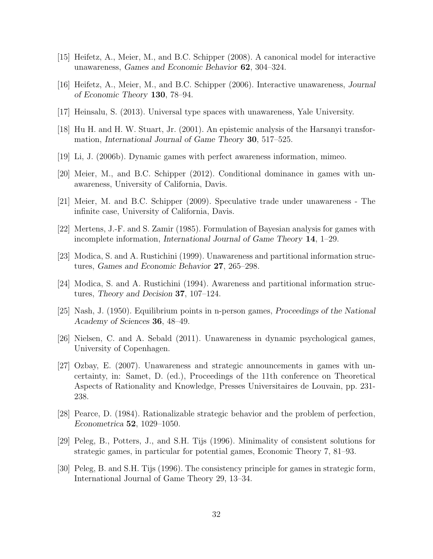- [15] Heifetz, A., Meier, M., and B.C. Schipper (2008). A canonical model for interactive unawareness, Games and Economic Behavior 62, 304–324.
- [16] Heifetz, A., Meier, M., and B.C. Schipper (2006). Interactive unawareness, Journal of Economic Theory 130, 78–94.
- [17] Heinsalu, S. (2013). Universal type spaces with unawareness, Yale University.
- [18] Hu H. and H. W. Stuart, Jr. (2001). An epistemic analysis of the Harsanyi transformation, International Journal of Game Theory 30, 517–525.
- [19] Li, J. (2006b). Dynamic games with perfect awareness information, mimeo.
- [20] Meier, M., and B.C. Schipper (2012). Conditional dominance in games with unawareness, University of California, Davis.
- [21] Meier, M. and B.C. Schipper (2009). Speculative trade under unawareness The infinite case, University of California, Davis.
- [22] Mertens, J.-F. and S. Zamir (1985). Formulation of Bayesian analysis for games with incomplete information, International Journal of Game Theory 14, 1–29.
- [23] Modica, S. and A. Rustichini (1999). Unawareness and partitional information structures, Games and Economic Behavior 27, 265–298.
- [24] Modica, S. and A. Rustichini (1994). Awareness and partitional information structures, Theory and Decision 37, 107–124.
- [25] Nash, J. (1950). Equilibrium points in n-person games, Proceedings of the National Academy of Sciences 36, 48–49.
- [26] Nielsen, C. and A. Sebald (2011). Unawareness in dynamic psychological games, University of Copenhagen.
- [27] Ozbay, E. (2007). Unawareness and strategic announcements in games with uncertainty, in: Samet, D. (ed.), Proceedings of the 11th conference on Theoretical Aspects of Rationality and Knowledge, Presses Universitaires de Louvain, pp. 231- 238.
- [28] Pearce, D. (1984). Rationalizable strategic behavior and the problem of perfection, Econometrica 52, 1029–1050.
- [29] Peleg, B., Potters, J., and S.H. Tijs (1996). Minimality of consistent solutions for strategic games, in particular for potential games, Economic Theory 7, 81–93.
- [30] Peleg, B. and S.H. Tijs (1996). The consistency principle for games in strategic form, International Journal of Game Theory 29, 13–34.